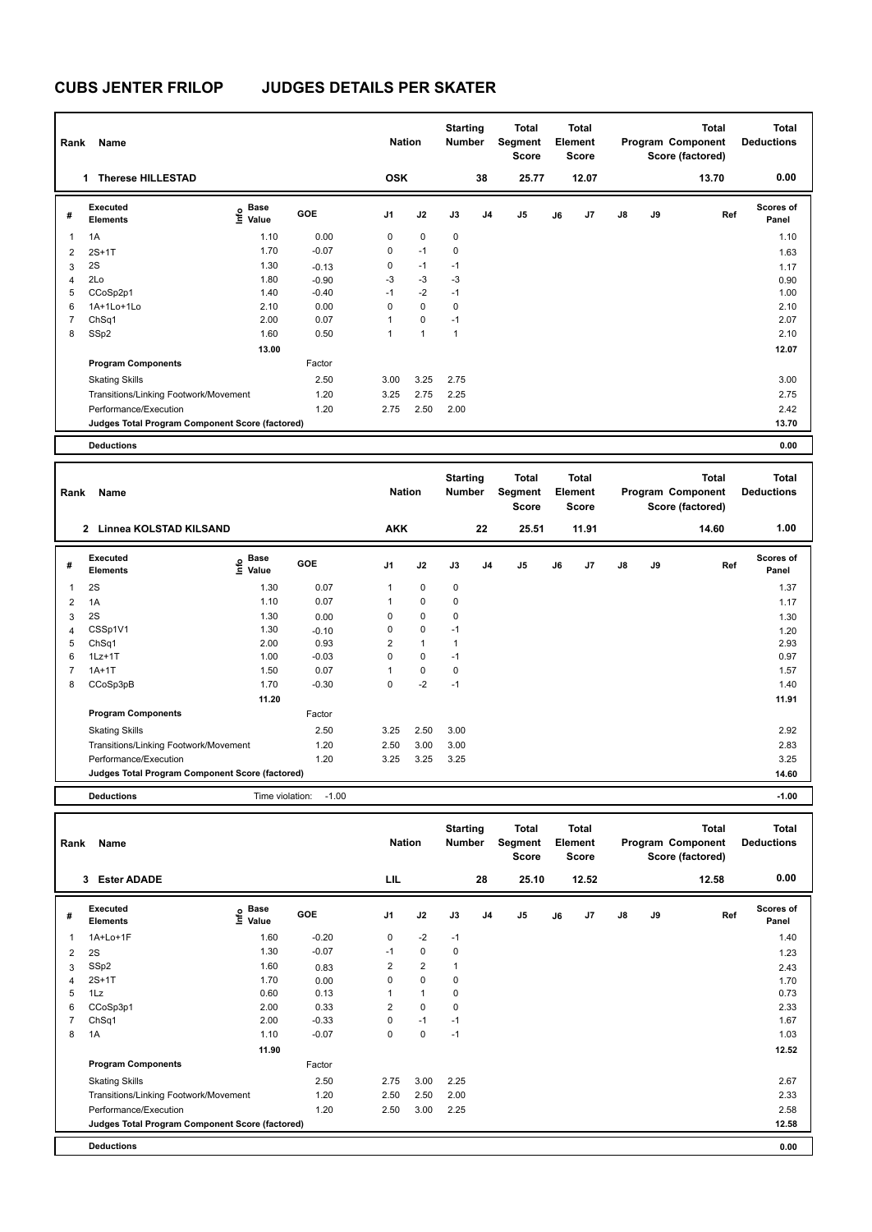| Rank           | Name                                            |                              |         | <b>Nation</b>  |             | <b>Starting</b><br>Number |                | <b>Total</b><br>Segment<br><b>Score</b> |    | Total<br>Element<br>Score |               |    | <b>Total</b><br>Program Component<br>Score (factored) | Total<br><b>Deductions</b> |
|----------------|-------------------------------------------------|------------------------------|---------|----------------|-------------|---------------------------|----------------|-----------------------------------------|----|---------------------------|---------------|----|-------------------------------------------------------|----------------------------|
|                | <b>Therese HILLESTAD</b><br>1                   |                              |         | <b>OSK</b>     |             |                           | 38             | 25.77                                   |    | 12.07                     |               |    | 13.70                                                 | 0.00                       |
| #              | Executed<br><b>Elements</b>                     | <b>Base</b><br>١nfo<br>Value | GOE     | J <sub>1</sub> | J2          | J3                        | J <sub>4</sub> | J <sub>5</sub>                          | J6 | J7                        | $\mathsf{J}8$ | J9 | Ref                                                   | <b>Scores of</b><br>Panel  |
| $\overline{1}$ | 1A                                              | 1.10                         | 0.00    | 0              | $\mathbf 0$ | $\mathbf 0$               |                |                                         |    |                           |               |    |                                                       | 1.10                       |
| $\overline{2}$ | $2S+1T$                                         | 1.70                         | $-0.07$ | 0              | $-1$        | $\mathbf 0$               |                |                                         |    |                           |               |    |                                                       | 1.63                       |
| 3              | 2S                                              | 1.30                         | $-0.13$ | 0              | $-1$        | $-1$                      |                |                                         |    |                           |               |    |                                                       | 1.17                       |
| $\overline{4}$ | 2Lo                                             | 1.80                         | $-0.90$ | $-3$           | $-3$        | $-3$                      |                |                                         |    |                           |               |    |                                                       | 0.90                       |
| 5              | CCoSp2p1                                        | 1.40                         | $-0.40$ | $-1$           | $-2$        | $-1$                      |                |                                         |    |                           |               |    |                                                       | 1.00                       |
| 6              | 1A+1Lo+1Lo                                      | 2.10                         | 0.00    | 0              | $\mathbf 0$ | $\mathbf 0$               |                |                                         |    |                           |               |    |                                                       | 2.10                       |
| 7              | ChSq1                                           | 2.00                         | 0.07    | 1              | $\mathbf 0$ | $-1$                      |                |                                         |    |                           |               |    |                                                       | 2.07                       |
| 8              | SSp2                                            | 1.60                         | 0.50    | 1              | 1           | $\mathbf{1}$              |                |                                         |    |                           |               |    |                                                       | 2.10                       |
|                |                                                 | 13.00                        |         |                |             |                           |                |                                         |    |                           |               |    |                                                       | 12.07                      |
|                | <b>Program Components</b>                       |                              | Factor  |                |             |                           |                |                                         |    |                           |               |    |                                                       |                            |
|                | <b>Skating Skills</b>                           |                              | 2.50    | 3.00           | 3.25        | 2.75                      |                |                                         |    |                           |               |    |                                                       | 3.00                       |
|                | Transitions/Linking Footwork/Movement           |                              | 1.20    | 3.25           | 2.75        | 2.25                      |                |                                         |    |                           |               |    |                                                       | 2.75                       |
|                | Performance/Execution                           |                              | 1.20    | 2.75           | 2.50        | 2.00                      |                |                                         |    |                           |               |    |                                                       | 2.42                       |
|                | Judges Total Program Component Score (factored) |                              |         |                |             |                           |                |                                         |    |                           |               |    |                                                       | 13.70                      |
|                | <b>Deductions</b>                               |                              |         |                |             |                           |                |                                         |    |                           |               |    |                                                       | 0.00                       |

| Rank           | Name                                            |                                  |            | <b>Nation</b>  |              | <b>Starting</b><br><b>Number</b> |                | <b>Total</b><br>Segment<br><b>Score</b> |    | <b>Total</b><br>Element<br><b>Score</b> |    |    | <b>Total</b><br>Program Component<br>Score (factored) | <b>Total</b><br><b>Deductions</b> |
|----------------|-------------------------------------------------|----------------------------------|------------|----------------|--------------|----------------------------------|----------------|-----------------------------------------|----|-----------------------------------------|----|----|-------------------------------------------------------|-----------------------------------|
|                | <b>Linnea KOLSTAD KILSAND</b><br>$\overline{2}$ |                                  |            | <b>AKK</b>     |              |                                  | 22             | 25.51                                   |    | 11.91                                   |    |    | 14.60                                                 | 1.00                              |
| #              | Executed<br><b>Elements</b>                     | <b>Base</b><br>e Base<br>⊆ Value | <b>GOE</b> | J <sub>1</sub> | J2           | J3                               | J <sub>4</sub> | J <sub>5</sub>                          | J6 | J7                                      | J8 | J9 | Ref                                                   | <b>Scores of</b><br>Panel         |
| 1              | 2S                                              | 1.30                             | 0.07       | 1              | $\mathbf 0$  | $\mathbf 0$                      |                |                                         |    |                                         |    |    |                                                       | 1.37                              |
| $\overline{2}$ | 1A                                              | 1.10                             | 0.07       | 1              | $\mathbf 0$  | 0                                |                |                                         |    |                                         |    |    |                                                       | 1.17                              |
| 3              | 2S                                              | 1.30                             | 0.00       | 0              | $\mathbf 0$  | 0                                |                |                                         |    |                                         |    |    |                                                       | 1.30                              |
| 4              | CSSp1V1                                         | 1.30                             | $-0.10$    | 0              | $\mathbf 0$  | $-1$                             |                |                                         |    |                                         |    |    |                                                       | 1.20                              |
| 5              | ChSq1                                           | 2.00                             | 0.93       | 2              | $\mathbf{1}$ | $\overline{1}$                   |                |                                         |    |                                         |    |    |                                                       | 2.93                              |
| 6              | $1Lz+1T$                                        | 1.00                             | $-0.03$    | 0              | $\mathbf 0$  | $-1$                             |                |                                         |    |                                         |    |    |                                                       | 0.97                              |
| $\overline{7}$ | $1A+1T$                                         | 1.50                             | 0.07       | 1              | $\mathbf 0$  | 0                                |                |                                         |    |                                         |    |    |                                                       | 1.57                              |
| 8              | CCoSp3pB                                        | 1.70                             | $-0.30$    | 0              | $-2$         | $-1$                             |                |                                         |    |                                         |    |    |                                                       | 1.40                              |
|                |                                                 | 11.20                            |            |                |              |                                  |                |                                         |    |                                         |    |    |                                                       | 11.91                             |
|                | <b>Program Components</b>                       |                                  | Factor     |                |              |                                  |                |                                         |    |                                         |    |    |                                                       |                                   |
|                | <b>Skating Skills</b>                           |                                  | 2.50       | 3.25           | 2.50         | 3.00                             |                |                                         |    |                                         |    |    |                                                       | 2.92                              |
|                | Transitions/Linking Footwork/Movement           |                                  | 1.20       | 2.50           | 3.00         | 3.00                             |                |                                         |    |                                         |    |    |                                                       | 2.83                              |
|                | Performance/Execution                           |                                  | 1.20       | 3.25           | 3.25         | 3.25                             |                |                                         |    |                                         |    |    |                                                       | 3.25                              |
|                | Judges Total Program Component Score (factored) |                                  |            |                |              |                                  |                |                                         |    |                                         |    |    |                                                       | 14.60                             |
|                | <b>Deductions</b>                               | Time violation:                  | $-1.00$    |                |              |                                  |                |                                         |    |                                         |    |    |                                                       | $-1.00$                           |

| Rank | Name                                            |                                  |         | <b>Nation</b>  |                | <b>Starting</b><br><b>Number</b> |                | <b>Total</b><br>Segment<br>Score |    | <b>Total</b><br>Element<br><b>Score</b> |    |    | <b>Total</b><br>Program Component<br>Score (factored) | Total<br><b>Deductions</b> |
|------|-------------------------------------------------|----------------------------------|---------|----------------|----------------|----------------------------------|----------------|----------------------------------|----|-----------------------------------------|----|----|-------------------------------------------------------|----------------------------|
|      | <b>Ester ADADE</b><br>3                         |                                  |         | LIL            |                |                                  | 28             | 25.10                            |    | 12.52                                   |    |    | 12.58                                                 | 0.00                       |
| #    | Executed<br><b>Elements</b>                     | <b>Base</b><br>o Base<br>⊆ Value | GOE     | J <sub>1</sub> | J2             | J3                               | J <sub>4</sub> | J <sub>5</sub>                   | J6 | J <sub>7</sub>                          | J8 | J9 | Ref                                                   | <b>Scores of</b><br>Panel  |
| 1    | $1A+Lo+1F$                                      | 1.60                             | $-0.20$ | 0              | $-2$           | $-1$                             |                |                                  |    |                                         |    |    |                                                       | 1.40                       |
| 2    | 2S                                              | 1.30                             | $-0.07$ | $-1$           | $\mathbf 0$    | 0                                |                |                                  |    |                                         |    |    |                                                       | 1.23                       |
| 3    | SSp2                                            | 1.60                             | 0.83    | 2              | $\overline{2}$ | 1                                |                |                                  |    |                                         |    |    |                                                       | 2.43                       |
| 4    | $2S+1T$                                         | 1.70                             | 0.00    | 0              | $\mathbf 0$    | 0                                |                |                                  |    |                                         |    |    |                                                       | 1.70                       |
| 5    | 1Lz                                             | 0.60                             | 0.13    |                | $\mathbf{1}$   | 0                                |                |                                  |    |                                         |    |    |                                                       | 0.73                       |
| 6    | CCoSp3p1                                        | 2.00                             | 0.33    | $\overline{2}$ | $\Omega$       | 0                                |                |                                  |    |                                         |    |    |                                                       | 2.33                       |
|      | ChSq1                                           | 2.00                             | $-0.33$ | 0              | $-1$           | $-1$                             |                |                                  |    |                                         |    |    |                                                       | 1.67                       |
| 8    | 1A                                              | 1.10                             | $-0.07$ | 0              | 0              | $-1$                             |                |                                  |    |                                         |    |    |                                                       | 1.03                       |
|      |                                                 | 11.90                            |         |                |                |                                  |                |                                  |    |                                         |    |    |                                                       | 12.52                      |
|      | <b>Program Components</b>                       |                                  | Factor  |                |                |                                  |                |                                  |    |                                         |    |    |                                                       |                            |
|      | <b>Skating Skills</b>                           |                                  | 2.50    | 2.75           | 3.00           | 2.25                             |                |                                  |    |                                         |    |    |                                                       | 2.67                       |
|      | Transitions/Linking Footwork/Movement           |                                  | 1.20    | 2.50           | 2.50           | 2.00                             |                |                                  |    |                                         |    |    |                                                       | 2.33                       |
|      | Performance/Execution                           |                                  | 1.20    | 2.50           | 3.00           | 2.25                             |                |                                  |    |                                         |    |    |                                                       | 2.58                       |
|      | Judges Total Program Component Score (factored) |                                  |         |                |                |                                  |                |                                  |    |                                         |    |    |                                                       | 12.58                      |
|      | <b>Deductions</b>                               |                                  |         |                |                |                                  |                |                                  |    |                                         |    |    |                                                       | 0.00                       |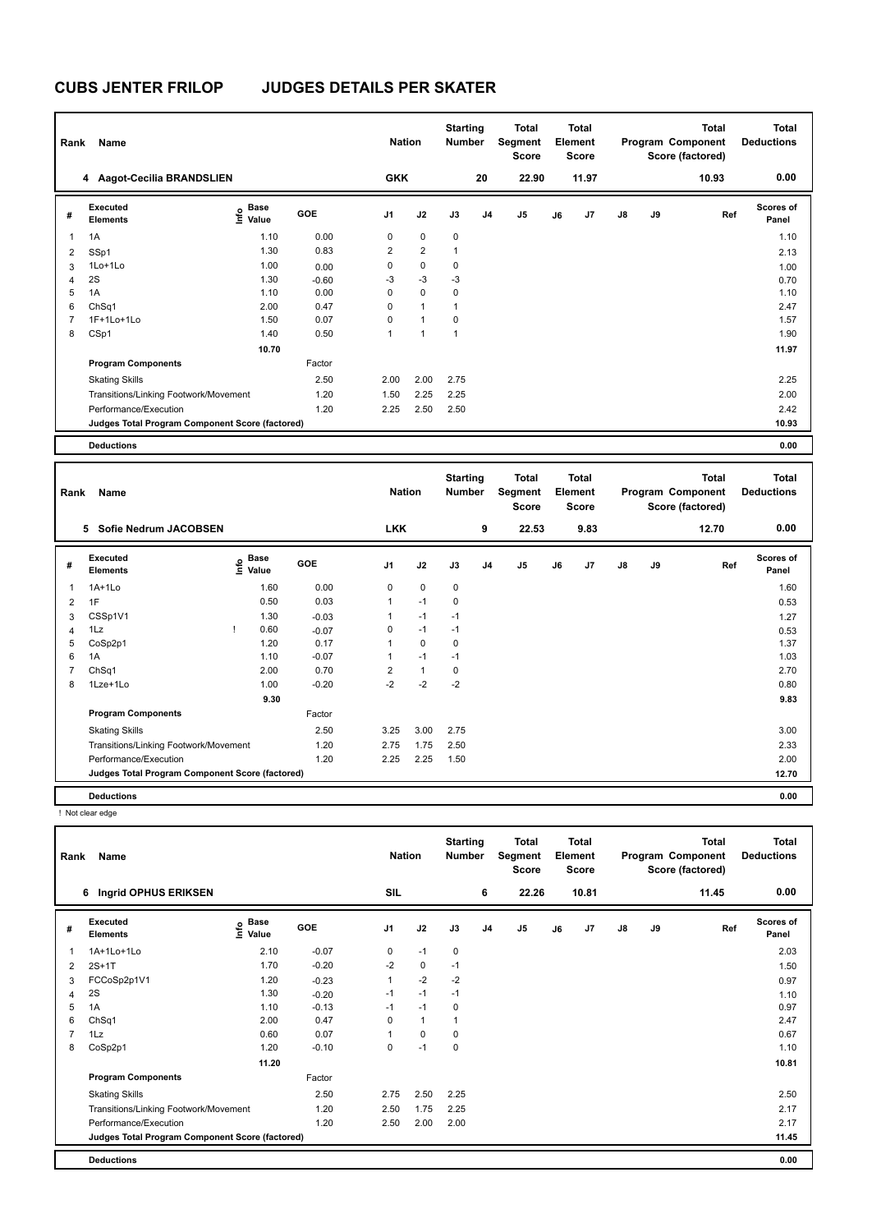| Rank | Name                                            |                                    |         | <b>Nation</b>  |                | <b>Starting</b><br><b>Number</b> |    | <b>Total</b><br>Segment<br><b>Score</b> |    | <b>Total</b><br>Element<br><b>Score</b> |               |    | <b>Total</b><br>Program Component<br>Score (factored) | Total<br><b>Deductions</b> |
|------|-------------------------------------------------|------------------------------------|---------|----------------|----------------|----------------------------------|----|-----------------------------------------|----|-----------------------------------------|---------------|----|-------------------------------------------------------|----------------------------|
|      | 4 Aagot-Cecilia BRANDSLIEN                      |                                    |         | <b>GKK</b>     |                |                                  | 20 | 22.90                                   |    | 11.97                                   |               |    | 10.93                                                 | 0.00                       |
| #    | Executed<br><b>Elements</b>                     | <b>Base</b><br>$\frac{6}{5}$ Value | GOE     | J <sub>1</sub> | J2             | J3                               | J4 | J <sub>5</sub>                          | J6 | J7                                      | $\mathsf{J}8$ | J9 | Ref                                                   | <b>Scores of</b><br>Panel  |
| 1    | 1A                                              | 1.10                               | 0.00    | 0              | $\mathbf 0$    | $\mathbf 0$                      |    |                                         |    |                                         |               |    |                                                       | 1.10                       |
| 2    | SSp1                                            | 1.30                               | 0.83    | $\overline{2}$ | $\overline{2}$ | $\mathbf{1}$                     |    |                                         |    |                                         |               |    |                                                       | 2.13                       |
| 3    | $1$ Lo $+1$ Lo                                  | 1.00                               | 0.00    | 0              | $\mathbf 0$    | 0                                |    |                                         |    |                                         |               |    |                                                       | 1.00                       |
| 4    | 2S                                              | 1.30                               | $-0.60$ | $-3$           | $-3$           | $-3$                             |    |                                         |    |                                         |               |    |                                                       | 0.70                       |
| 5    | 1A                                              | 1.10                               | 0.00    | 0              | $\mathbf 0$    | 0                                |    |                                         |    |                                         |               |    |                                                       | 1.10                       |
| 6    | ChSq1                                           | 2.00                               | 0.47    | 0              | $\mathbf{1}$   | $\mathbf{1}$                     |    |                                         |    |                                         |               |    |                                                       | 2.47                       |
|      | 1F+1Lo+1Lo                                      | 1.50                               | 0.07    | 0              | $\mathbf{1}$   | 0                                |    |                                         |    |                                         |               |    |                                                       | 1.57                       |
| 8    | CSp1                                            | 1.40                               | 0.50    | 1              | 1              | 1                                |    |                                         |    |                                         |               |    |                                                       | 1.90                       |
|      |                                                 | 10.70                              |         |                |                |                                  |    |                                         |    |                                         |               |    |                                                       | 11.97                      |
|      | <b>Program Components</b>                       |                                    | Factor  |                |                |                                  |    |                                         |    |                                         |               |    |                                                       |                            |
|      | <b>Skating Skills</b>                           |                                    | 2.50    | 2.00           | 2.00           | 2.75                             |    |                                         |    |                                         |               |    |                                                       | 2.25                       |
|      | Transitions/Linking Footwork/Movement           |                                    | 1.20    | 1.50           | 2.25           | 2.25                             |    |                                         |    |                                         |               |    |                                                       | 2.00                       |
|      | Performance/Execution                           |                                    | 1.20    | 2.25           | 2.50           | 2.50                             |    |                                         |    |                                         |               |    |                                                       | 2.42                       |
|      | Judges Total Program Component Score (factored) |                                    |         |                |                |                                  |    |                                         |    |                                         |               |    |                                                       | 10.93                      |
|      | <b>Deductions</b>                               |                                    |         |                |                |                                  |    |                                         |    |                                         |               |    |                                                       | 0.00                       |

| Rank | Name                                            |                                           |            | <b>Nation</b>  |              | <b>Starting</b><br><b>Number</b> |                | <b>Total</b><br>Segment<br><b>Score</b> |    | <b>Total</b><br>Element<br><b>Score</b> |               |    | <b>Total</b><br>Program Component<br>Score (factored) | <b>Total</b><br><b>Deductions</b> |
|------|-------------------------------------------------|-------------------------------------------|------------|----------------|--------------|----------------------------------|----------------|-----------------------------------------|----|-----------------------------------------|---------------|----|-------------------------------------------------------|-----------------------------------|
|      | Sofie Nedrum JACOBSEN<br>5.                     |                                           |            | <b>LKK</b>     |              |                                  | 9              | 22.53                                   |    | 9.83                                    |               |    | 12.70                                                 | 0.00                              |
| #    | Executed<br><b>Elements</b>                     | $\frac{6}{5}$ Base<br>$\frac{6}{5}$ Value | <b>GOE</b> | J <sub>1</sub> | J2           | J3                               | J <sub>4</sub> | J5                                      | J6 | J <sub>7</sub>                          | $\mathsf{J}8$ | J9 | Ref                                                   | <b>Scores of</b><br>Panel         |
| 1    | 1A+1Lo                                          | 1.60                                      | 0.00       | 0              | $\mathbf 0$  | 0                                |                |                                         |    |                                         |               |    |                                                       | 1.60                              |
| 2    | 1F                                              | 0.50                                      | 0.03       | 1              | $-1$         | 0                                |                |                                         |    |                                         |               |    |                                                       | 0.53                              |
| 3    | CSSp1V1                                         | 1.30                                      | $-0.03$    | 1              | $-1$         | $-1$                             |                |                                         |    |                                         |               |    |                                                       | 1.27                              |
| 4    | 1Lz                                             | 0.60                                      | $-0.07$    | 0              | $-1$         | $-1$                             |                |                                         |    |                                         |               |    |                                                       | 0.53                              |
| 5    | CoSp2p1                                         | 1.20                                      | 0.17       | 1              | 0            | 0                                |                |                                         |    |                                         |               |    |                                                       | 1.37                              |
| 6    | 1A                                              | 1.10                                      | $-0.07$    | 1              | $-1$         | $-1$                             |                |                                         |    |                                         |               |    |                                                       | 1.03                              |
| 7    | ChSq1                                           | 2.00                                      | 0.70       | $\overline{2}$ | $\mathbf{1}$ | 0                                |                |                                         |    |                                         |               |    |                                                       | 2.70                              |
| 8    | 1Lze+1Lo                                        | 1.00                                      | $-0.20$    | $-2$           | $-2$         | $-2$                             |                |                                         |    |                                         |               |    |                                                       | 0.80                              |
|      |                                                 | 9.30                                      |            |                |              |                                  |                |                                         |    |                                         |               |    |                                                       | 9.83                              |
|      | <b>Program Components</b>                       |                                           | Factor     |                |              |                                  |                |                                         |    |                                         |               |    |                                                       |                                   |
|      | <b>Skating Skills</b>                           |                                           | 2.50       | 3.25           | 3.00         | 2.75                             |                |                                         |    |                                         |               |    |                                                       | 3.00                              |
|      | Transitions/Linking Footwork/Movement           |                                           | 1.20       | 2.75           | 1.75         | 2.50                             |                |                                         |    |                                         |               |    |                                                       | 2.33                              |
|      | Performance/Execution                           |                                           | 1.20       | 2.25           | 2.25         | 1.50                             |                |                                         |    |                                         |               |    |                                                       | 2.00                              |
|      | Judges Total Program Component Score (factored) |                                           |            |                |              |                                  |                |                                         |    |                                         |               |    |                                                       | 12.70                             |
|      | <b>Deductions</b>                               |                                           |            |                |              |                                  |                |                                         |    |                                         |               |    |                                                       | 0.00                              |

! Not clear edge

| Rank | Name                                            |                                  |         | <b>Nation</b>  |              | <b>Starting</b><br>Number |                | Total<br>Segment<br><b>Score</b> |    | <b>Total</b><br>Element<br><b>Score</b> |               |    | <b>Total</b><br>Program Component<br>Score (factored) | <b>Total</b><br><b>Deductions</b> |
|------|-------------------------------------------------|----------------------------------|---------|----------------|--------------|---------------------------|----------------|----------------------------------|----|-----------------------------------------|---------------|----|-------------------------------------------------------|-----------------------------------|
|      | Ingrid OPHUS ERIKSEN<br>6                       |                                  |         | SIL            |              |                           | 6              | 22.26                            |    | 10.81                                   |               |    | 11.45                                                 | 0.00                              |
| #    | Executed<br><b>Elements</b>                     | <b>Base</b><br>e Base<br>⊆ Value | GOE     | J <sub>1</sub> | J2           | J3                        | J <sub>4</sub> | J5                               | J6 | J7                                      | $\mathsf{J}8$ | J9 | Ref                                                   | Scores of<br>Panel                |
| 1    | 1A+1Lo+1Lo                                      | 2.10                             | $-0.07$ | 0              | $-1$         | 0                         |                |                                  |    |                                         |               |    |                                                       | 2.03                              |
| 2    | $2S+1T$                                         | 1.70                             | $-0.20$ | $-2$           | $\mathbf 0$  | $-1$                      |                |                                  |    |                                         |               |    |                                                       | 1.50                              |
| 3    | FCCoSp2p1V1                                     | 1.20                             | $-0.23$ | $\mathbf{1}$   | $-2$         | $-2$                      |                |                                  |    |                                         |               |    |                                                       | 0.97                              |
| 4    | 2S                                              | 1.30                             | $-0.20$ | $-1$           | $-1$         | $-1$                      |                |                                  |    |                                         |               |    |                                                       | 1.10                              |
| 5    | 1A                                              | 1.10                             | $-0.13$ | $-1$           | $-1$         | 0                         |                |                                  |    |                                         |               |    |                                                       | 0.97                              |
| 6    | ChSq1                                           | 2.00                             | 0.47    | $\Omega$       | $\mathbf{1}$ |                           |                |                                  |    |                                         |               |    |                                                       | 2.47                              |
|      | 1Lz                                             | 0.60                             | 0.07    |                | 0            | 0                         |                |                                  |    |                                         |               |    |                                                       | 0.67                              |
| 8    | CoSp2p1                                         | 1.20                             | $-0.10$ | 0              | $-1$         | 0                         |                |                                  |    |                                         |               |    |                                                       | 1.10                              |
|      |                                                 | 11.20                            |         |                |              |                           |                |                                  |    |                                         |               |    |                                                       | 10.81                             |
|      | <b>Program Components</b>                       |                                  | Factor  |                |              |                           |                |                                  |    |                                         |               |    |                                                       |                                   |
|      | <b>Skating Skills</b>                           |                                  | 2.50    | 2.75           | 2.50         | 2.25                      |                |                                  |    |                                         |               |    |                                                       | 2.50                              |
|      | Transitions/Linking Footwork/Movement           |                                  | 1.20    | 2.50           | 1.75         | 2.25                      |                |                                  |    |                                         |               |    |                                                       | 2.17                              |
|      | Performance/Execution                           |                                  | 1.20    | 2.50           | 2.00         | 2.00                      |                |                                  |    |                                         |               |    |                                                       | 2.17                              |
|      | Judges Total Program Component Score (factored) |                                  |         |                |              |                           |                |                                  |    |                                         |               |    |                                                       | 11.45                             |
|      | <b>Deductions</b>                               |                                  |         |                |              |                           |                |                                  |    |                                         |               |    |                                                       | 0.00                              |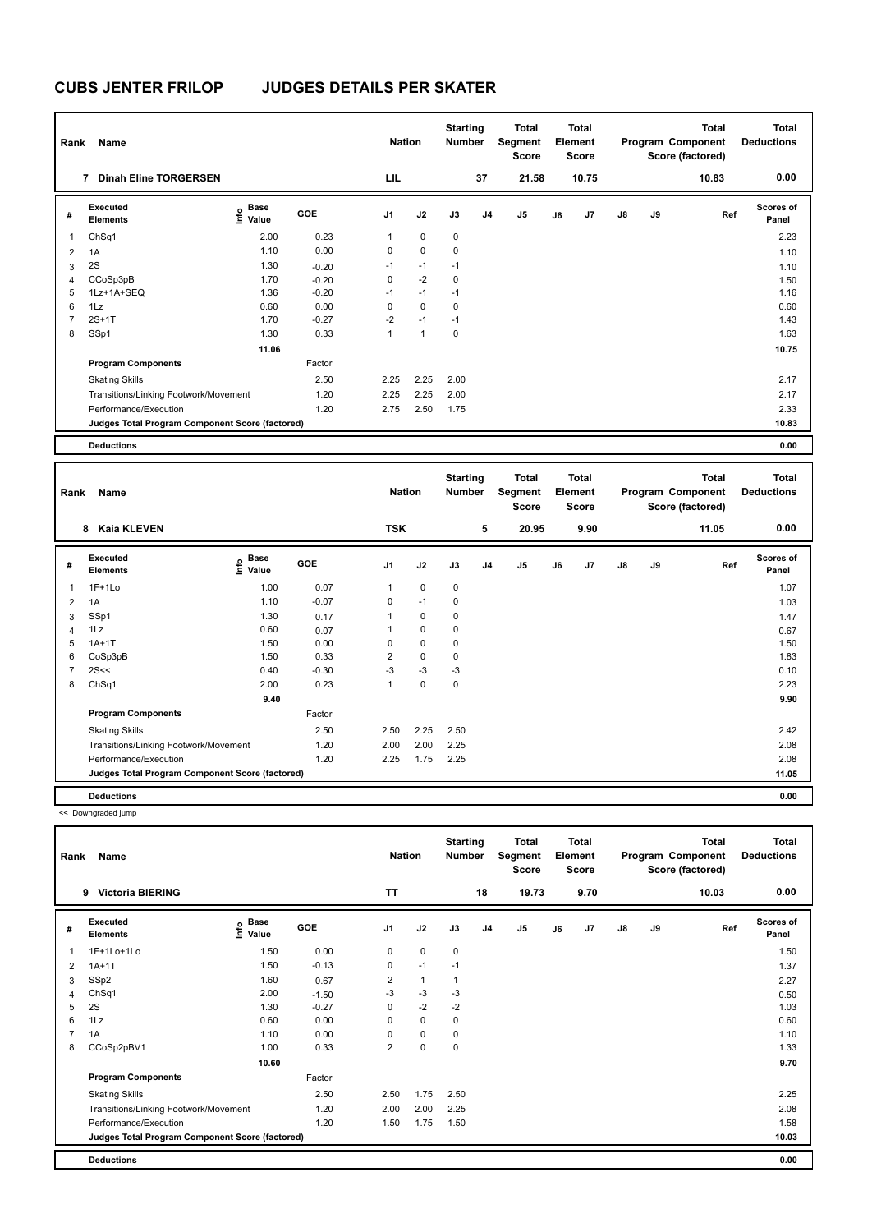| Rank | Name                                            |                       |         | <b>Nation</b>  |              | <b>Starting</b><br><b>Number</b> |                | Total<br>Segment<br><b>Score</b> |    | <b>Total</b><br>Element<br><b>Score</b> |               |    | <b>Total</b><br>Program Component<br>Score (factored) | <b>Total</b><br><b>Deductions</b> |
|------|-------------------------------------------------|-----------------------|---------|----------------|--------------|----------------------------------|----------------|----------------------------------|----|-----------------------------------------|---------------|----|-------------------------------------------------------|-----------------------------------|
|      | 7<br><b>Dinah Eline TORGERSEN</b>               |                       |         | LIL            |              |                                  | 37             | 21.58                            |    | 10.75                                   |               |    | 10.83                                                 | 0.00                              |
| #    | Executed<br><b>Elements</b>                     | Base<br>lnfo<br>Value | GOE     | J <sub>1</sub> | J2           | J3                               | J <sub>4</sub> | J <sub>5</sub>                   | J6 | J7                                      | $\mathsf{J}8$ | J9 | Ref                                                   | <b>Scores of</b><br>Panel         |
|      | ChSq1                                           | 2.00                  | 0.23    | 1              | $\mathbf 0$  | $\mathbf 0$                      |                |                                  |    |                                         |               |    |                                                       | 2.23                              |
| 2    | 1A                                              | 1.10                  | 0.00    | 0              | $\mathbf 0$  | 0                                |                |                                  |    |                                         |               |    |                                                       | 1.10                              |
| 3    | 2S                                              | 1.30                  | $-0.20$ | $-1$           | $-1$         | $-1$                             |                |                                  |    |                                         |               |    |                                                       | 1.10                              |
| 4    | CCoSp3pB                                        | 1.70                  | $-0.20$ | 0              | $-2$         | 0                                |                |                                  |    |                                         |               |    |                                                       | 1.50                              |
| 5    | 1Lz+1A+SEQ                                      | 1.36                  | $-0.20$ | $-1$           | $-1$         | $-1$                             |                |                                  |    |                                         |               |    |                                                       | 1.16                              |
| 6    | 1Lz                                             | 0.60                  | 0.00    | 0              | $\mathbf 0$  | 0                                |                |                                  |    |                                         |               |    |                                                       | 0.60                              |
|      | $2S+1T$                                         | 1.70                  | $-0.27$ | $-2$           | $-1$         | $-1$                             |                |                                  |    |                                         |               |    |                                                       | 1.43                              |
| 8    | SSp1                                            | 1.30                  | 0.33    | 1              | $\mathbf{1}$ | 0                                |                |                                  |    |                                         |               |    |                                                       | 1.63                              |
|      |                                                 | 11.06                 |         |                |              |                                  |                |                                  |    |                                         |               |    |                                                       | 10.75                             |
|      | <b>Program Components</b>                       |                       | Factor  |                |              |                                  |                |                                  |    |                                         |               |    |                                                       |                                   |
|      | <b>Skating Skills</b>                           |                       | 2.50    | 2.25           | 2.25         | 2.00                             |                |                                  |    |                                         |               |    |                                                       | 2.17                              |
|      | Transitions/Linking Footwork/Movement           |                       | 1.20    | 2.25           | 2.25         | 2.00                             |                |                                  |    |                                         |               |    |                                                       | 2.17                              |
|      | Performance/Execution                           |                       | 1.20    | 2.75           | 2.50         | 1.75                             |                |                                  |    |                                         |               |    |                                                       | 2.33                              |
|      | Judges Total Program Component Score (factored) |                       |         |                |              |                                  |                |                                  |    |                                         |               |    |                                                       | 10.83                             |
|      | <b>Deductions</b>                               |                       |         |                |              |                                  |                |                                  |    |                                         |               |    |                                                       | 0.00                              |

| Rank           | Name                                            |                                  |            | <b>Nation</b>  |             | <b>Starting</b><br><b>Number</b> |                | <b>Total</b><br>Segment<br><b>Score</b> |    | <b>Total</b><br>Element<br><b>Score</b> |               |    | <b>Total</b><br>Program Component<br>Score (factored) | <b>Total</b><br><b>Deductions</b> |
|----------------|-------------------------------------------------|----------------------------------|------------|----------------|-------------|----------------------------------|----------------|-----------------------------------------|----|-----------------------------------------|---------------|----|-------------------------------------------------------|-----------------------------------|
|                | <b>Kaia KLEVEN</b><br>8                         |                                  |            | <b>TSK</b>     |             |                                  | 5              | 20.95                                   |    | 9.90                                    |               |    | 11.05                                                 | 0.00                              |
| #              | Executed<br><b>Elements</b>                     | <b>Base</b><br>o Base<br>⊆ Value | <b>GOE</b> | J <sub>1</sub> | J2          | J3                               | J <sub>4</sub> | J5                                      | J6 | J7                                      | $\mathsf{J}8$ | J9 | Ref                                                   | <b>Scores of</b><br>Panel         |
| 1              | $1F+1Lo$                                        | 1.00                             | 0.07       | 1              | $\mathbf 0$ | 0                                |                |                                         |    |                                         |               |    |                                                       | 1.07                              |
| $\overline{2}$ | 1A                                              | 1.10                             | $-0.07$    | 0              | $-1$        | 0                                |                |                                         |    |                                         |               |    |                                                       | 1.03                              |
| 3              | SSp1                                            | 1.30                             | 0.17       | 1              | 0           | 0                                |                |                                         |    |                                         |               |    |                                                       | 1.47                              |
| 4              | 1Lz                                             | 0.60                             | 0.07       |                | 0           | 0                                |                |                                         |    |                                         |               |    |                                                       | 0.67                              |
| 5              | $1A+1T$                                         | 1.50                             | 0.00       | 0              | $\mathbf 0$ | 0                                |                |                                         |    |                                         |               |    |                                                       | 1.50                              |
| 6              | CoSp3pB                                         | 1.50                             | 0.33       | $\overline{2}$ | $\mathbf 0$ | 0                                |                |                                         |    |                                         |               |    |                                                       | 1.83                              |
| $\overline{7}$ | 2S<<                                            | 0.40                             | $-0.30$    | $-3$           | $-3$        | $-3$                             |                |                                         |    |                                         |               |    |                                                       | 0.10                              |
| 8              | ChSq1                                           | 2.00                             | 0.23       | 1              | $\mathbf 0$ | 0                                |                |                                         |    |                                         |               |    |                                                       | 2.23                              |
|                |                                                 | 9.40                             |            |                |             |                                  |                |                                         |    |                                         |               |    |                                                       | 9.90                              |
|                | <b>Program Components</b>                       |                                  | Factor     |                |             |                                  |                |                                         |    |                                         |               |    |                                                       |                                   |
|                | <b>Skating Skills</b>                           |                                  | 2.50       | 2.50           | 2.25        | 2.50                             |                |                                         |    |                                         |               |    |                                                       | 2.42                              |
|                | Transitions/Linking Footwork/Movement           |                                  | 1.20       | 2.00           | 2.00        | 2.25                             |                |                                         |    |                                         |               |    |                                                       | 2.08                              |
|                | Performance/Execution                           |                                  | 1.20       | 2.25           | 1.75        | 2.25                             |                |                                         |    |                                         |               |    |                                                       | 2.08                              |
|                | Judges Total Program Component Score (factored) |                                  |            |                |             |                                  |                |                                         |    |                                         |               |    |                                                       | 11.05                             |
|                | <b>Deductions</b>                               |                                  |            |                |             |                                  |                |                                         |    |                                         |               |    |                                                       | 0.00                              |

<< Downgraded jump

| Rank | Name                                            |                            |         | <b>Nation</b>  |              | <b>Starting</b><br><b>Number</b> |                | <b>Total</b><br>Segment<br><b>Score</b> |    | <b>Total</b><br>Element<br><b>Score</b> |               |    | <b>Total</b><br>Program Component<br>Score (factored) | <b>Total</b><br><b>Deductions</b> |
|------|-------------------------------------------------|----------------------------|---------|----------------|--------------|----------------------------------|----------------|-----------------------------------------|----|-----------------------------------------|---------------|----|-------------------------------------------------------|-----------------------------------|
|      | <b>Victoria BIERING</b><br>9                    |                            |         | <b>TT</b>      |              |                                  | 18             | 19.73                                   |    | 9.70                                    |               |    | 10.03                                                 | 0.00                              |
| #    | Executed<br><b>Elements</b>                     | <b>Base</b><br>۴o<br>Value | GOE     | J <sub>1</sub> | J2           | J3                               | J <sub>4</sub> | J <sub>5</sub>                          | J6 | J7                                      | $\mathsf{J}8$ | J9 | Ref                                                   | Scores of<br>Panel                |
| 1    | 1F+1Lo+1Lo                                      | 1.50                       | 0.00    | 0              | $\mathbf 0$  | 0                                |                |                                         |    |                                         |               |    |                                                       | 1.50                              |
| 2    | $1A+1T$                                         | 1.50                       | $-0.13$ | 0              | $-1$         | $-1$                             |                |                                         |    |                                         |               |    |                                                       | 1.37                              |
| 3    | SSp2                                            | 1.60                       | 0.67    | $\overline{2}$ | $\mathbf{1}$ | 1                                |                |                                         |    |                                         |               |    |                                                       | 2.27                              |
| 4    | ChSq1                                           | 2.00                       | $-1.50$ | $-3$           | $-3$         | $-3$                             |                |                                         |    |                                         |               |    |                                                       | 0.50                              |
| 5    | 2S                                              | 1.30                       | $-0.27$ | 0              | $-2$         | $-2$                             |                |                                         |    |                                         |               |    |                                                       | 1.03                              |
| 6    | 1Lz                                             | 0.60                       | 0.00    | 0              | $\mathbf 0$  | 0                                |                |                                         |    |                                         |               |    |                                                       | 0.60                              |
| 7    | 1A                                              | 1.10                       | 0.00    | $\Omega$       | $\mathbf 0$  | 0                                |                |                                         |    |                                         |               |    |                                                       | 1.10                              |
| 8    | CCoSp2pBV1                                      | 1.00                       | 0.33    | $\overline{2}$ | $\mathbf 0$  | $\mathbf 0$                      |                |                                         |    |                                         |               |    |                                                       | 1.33                              |
|      |                                                 | 10.60                      |         |                |              |                                  |                |                                         |    |                                         |               |    |                                                       | 9.70                              |
|      | <b>Program Components</b>                       |                            | Factor  |                |              |                                  |                |                                         |    |                                         |               |    |                                                       |                                   |
|      | <b>Skating Skills</b>                           |                            | 2.50    | 2.50           | 1.75         | 2.50                             |                |                                         |    |                                         |               |    |                                                       | 2.25                              |
|      | Transitions/Linking Footwork/Movement           |                            | 1.20    | 2.00           | 2.00         | 2.25                             |                |                                         |    |                                         |               |    |                                                       | 2.08                              |
|      | Performance/Execution                           |                            | 1.20    | 1.50           | 1.75         | 1.50                             |                |                                         |    |                                         |               |    |                                                       | 1.58                              |
|      | Judges Total Program Component Score (factored) |                            |         |                |              |                                  |                |                                         |    |                                         |               |    |                                                       | 10.03                             |
|      | <b>Deductions</b>                               |                            |         |                |              |                                  |                |                                         |    |                                         |               |    |                                                       | 0.00                              |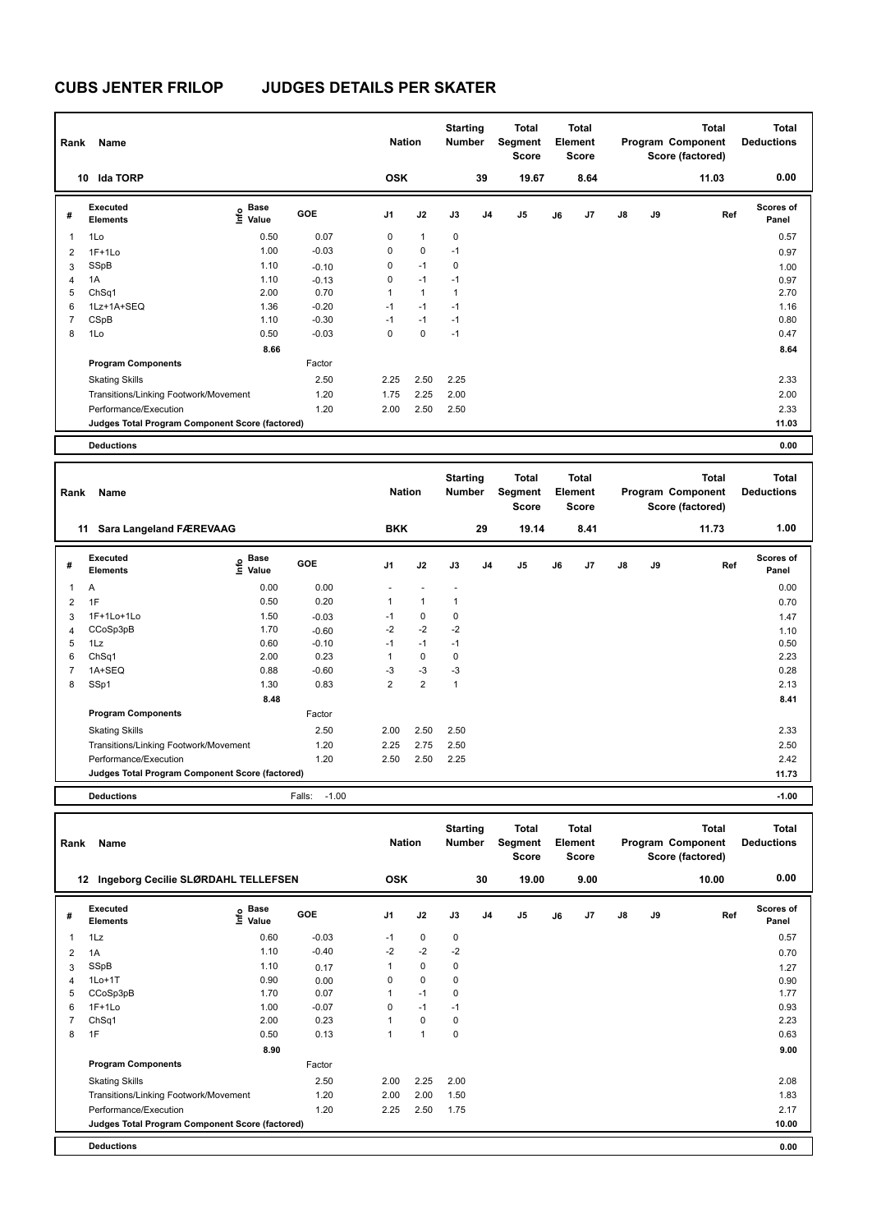| Rank           | Name                                            |                              |         | <b>Nation</b>  |              | <b>Starting</b><br>Number |                | <b>Total</b><br>Segment<br><b>Score</b> |    | Total<br>Element<br><b>Score</b> |               |    | <b>Total</b><br>Program Component<br>Score (factored) | Total<br><b>Deductions</b> |
|----------------|-------------------------------------------------|------------------------------|---------|----------------|--------------|---------------------------|----------------|-----------------------------------------|----|----------------------------------|---------------|----|-------------------------------------------------------|----------------------------|
|                | <b>Ida TORP</b><br>10                           |                              |         | <b>OSK</b>     |              |                           | 39             | 19.67                                   |    | 8.64                             |               |    | 11.03                                                 | 0.00                       |
| #              | Executed<br><b>Elements</b>                     | <b>Base</b><br>١nfo<br>Value | GOE     | J <sub>1</sub> | J2           | J3                        | J <sub>4</sub> | J <sub>5</sub>                          | J6 | J7                               | $\mathsf{J}8$ | J9 | Ref                                                   | <b>Scores of</b><br>Panel  |
| $\overline{1}$ | 1Lo                                             | 0.50                         | 0.07    | 0              | $\mathbf{1}$ | $\mathbf 0$               |                |                                         |    |                                  |               |    |                                                       | 0.57                       |
| $\overline{2}$ | $1F+1Lo$                                        | 1.00                         | $-0.03$ | 0              | $\mathbf 0$  | $-1$                      |                |                                         |    |                                  |               |    |                                                       | 0.97                       |
| 3              | SSpB                                            | 1.10                         | $-0.10$ | 0              | $-1$         | 0                         |                |                                         |    |                                  |               |    |                                                       | 1.00                       |
| $\overline{4}$ | 1A                                              | 1.10                         | $-0.13$ | 0              | $-1$         | $-1$                      |                |                                         |    |                                  |               |    |                                                       | 0.97                       |
| 5              | ChSq1                                           | 2.00                         | 0.70    | 1              | $\mathbf{1}$ | $\mathbf{1}$              |                |                                         |    |                                  |               |    |                                                       | 2.70                       |
| 6              | 1Lz+1A+SEQ                                      | 1.36                         | $-0.20$ | $-1$           | $-1$         | $-1$                      |                |                                         |    |                                  |               |    |                                                       | 1.16                       |
| 7              | CSpB                                            | 1.10                         | $-0.30$ | $-1$           | $-1$         | $-1$                      |                |                                         |    |                                  |               |    |                                                       | 0.80                       |
| 8              | 1Lo                                             | 0.50                         | $-0.03$ | 0              | $\mathbf 0$  | $-1$                      |                |                                         |    |                                  |               |    |                                                       | 0.47                       |
|                |                                                 | 8.66                         |         |                |              |                           |                |                                         |    |                                  |               |    |                                                       | 8.64                       |
|                | <b>Program Components</b>                       |                              | Factor  |                |              |                           |                |                                         |    |                                  |               |    |                                                       |                            |
|                | <b>Skating Skills</b>                           |                              | 2.50    | 2.25           | 2.50         | 2.25                      |                |                                         |    |                                  |               |    |                                                       | 2.33                       |
|                | Transitions/Linking Footwork/Movement           |                              | 1.20    | 1.75           | 2.25         | 2.00                      |                |                                         |    |                                  |               |    |                                                       | 2.00                       |
|                | Performance/Execution                           |                              | 1.20    | 2.00           | 2.50         | 2.50                      |                |                                         |    |                                  |               |    |                                                       | 2.33                       |
|                | Judges Total Program Component Score (factored) |                              |         |                |              |                           |                |                                         |    |                                  |               |    |                                                       | 11.03                      |
|                | <b>Deductions</b>                               |                              |         |                |              |                           |                |                                         |    |                                  |               |    |                                                       | 0.00                       |

| Rank           | Name                                            |                                           |                   | <b>Nation</b>  |                | <b>Starting</b><br><b>Number</b> |                | <b>Total</b><br>Segment<br><b>Score</b> |    | <b>Total</b><br>Element<br><b>Score</b> |               |    | <b>Total</b><br>Program Component<br>Score (factored) | <b>Total</b><br><b>Deductions</b> |
|----------------|-------------------------------------------------|-------------------------------------------|-------------------|----------------|----------------|----------------------------------|----------------|-----------------------------------------|----|-----------------------------------------|---------------|----|-------------------------------------------------------|-----------------------------------|
|                | Sara Langeland FÆREVAAG<br>11                   |                                           |                   | <b>BKK</b>     |                |                                  | 29             | 19.14                                   |    | 8.41                                    |               |    | 11.73                                                 | 1.00                              |
| #              | Executed<br><b>Elements</b>                     | $\frac{e}{E}$ Base<br>$\frac{E}{E}$ Value | <b>GOE</b>        | J <sub>1</sub> | J2             | J3                               | J <sub>4</sub> | J <sub>5</sub>                          | J6 | J7                                      | $\mathsf{J}8$ | J9 | Ref                                                   | <b>Scores of</b><br>Panel         |
| $\overline{1}$ | Α                                               | 0.00                                      | 0.00              |                |                |                                  |                |                                         |    |                                         |               |    |                                                       | 0.00                              |
| $\overline{2}$ | 1F                                              | 0.50                                      | 0.20              | $\mathbf{1}$   | $\mathbf{1}$   | 1                                |                |                                         |    |                                         |               |    |                                                       | 0.70                              |
| 3              | 1F+1Lo+1Lo                                      | 1.50                                      | $-0.03$           | $-1$           | $\mathbf 0$    | $\mathbf 0$                      |                |                                         |    |                                         |               |    |                                                       | 1.47                              |
| 4              | CCoSp3pB                                        | 1.70                                      | $-0.60$           | $-2$           | $-2$           | $-2$                             |                |                                         |    |                                         |               |    |                                                       | 1.10                              |
| 5              | 1Lz                                             | 0.60                                      | $-0.10$           | $-1$           | $-1$           | $-1$                             |                |                                         |    |                                         |               |    |                                                       | 0.50                              |
| 6              | ChSq1                                           | 2.00                                      | 0.23              | 1              | $\mathbf 0$    | 0                                |                |                                         |    |                                         |               |    |                                                       | 2.23                              |
| $\overline{7}$ | 1A+SEQ                                          | 0.88                                      | $-0.60$           | $-3$           | $-3$           | $-3$                             |                |                                         |    |                                         |               |    |                                                       | 0.28                              |
| 8              | SSp1                                            | 1.30                                      | 0.83              | $\overline{2}$ | $\overline{2}$ | $\mathbf{1}$                     |                |                                         |    |                                         |               |    |                                                       | 2.13                              |
|                |                                                 | 8.48                                      |                   |                |                |                                  |                |                                         |    |                                         |               |    |                                                       | 8.41                              |
|                | <b>Program Components</b>                       |                                           | Factor            |                |                |                                  |                |                                         |    |                                         |               |    |                                                       |                                   |
|                | <b>Skating Skills</b>                           |                                           | 2.50              | 2.00           | 2.50           | 2.50                             |                |                                         |    |                                         |               |    |                                                       | 2.33                              |
|                | Transitions/Linking Footwork/Movement           |                                           | 1.20              | 2.25           | 2.75           | 2.50                             |                |                                         |    |                                         |               |    |                                                       | 2.50                              |
|                | Performance/Execution                           |                                           | 1.20              | 2.50           | 2.50           | 2.25                             |                |                                         |    |                                         |               |    |                                                       | 2.42                              |
|                | Judges Total Program Component Score (factored) |                                           |                   |                |                |                                  |                |                                         |    |                                         |               |    |                                                       | 11.73                             |
|                | <b>Deductions</b>                               |                                           | Falls:<br>$-1.00$ |                |                |                                  |                |                                         |    |                                         |               |    |                                                       | $-1.00$                           |

| Rank | Name                                            |                                  |         | <b>Nation</b>  |              | <b>Starting</b><br><b>Number</b> |                | Total<br>Segment<br><b>Score</b> |    | <b>Total</b><br>Element<br><b>Score</b> |               |    | <b>Total</b><br>Program Component<br>Score (factored) | <b>Total</b><br><b>Deductions</b> |
|------|-------------------------------------------------|----------------------------------|---------|----------------|--------------|----------------------------------|----------------|----------------------------------|----|-----------------------------------------|---------------|----|-------------------------------------------------------|-----------------------------------|
| 12   | Ingeborg Cecilie SLØRDAHL TELLEFSEN             |                                  |         | <b>OSK</b>     |              |                                  | 30             | 19.00                            |    | 9.00                                    |               |    | 10.00                                                 | 0.00                              |
| #    | <b>Executed</b><br><b>Elements</b>              | <b>Base</b><br>e Base<br>⊆ Value | GOE     | J <sub>1</sub> | J2           | J3                               | J <sub>4</sub> | J5                               | J6 | J <sub>7</sub>                          | $\mathsf{J}8$ | J9 | Ref                                                   | <b>Scores of</b><br>Panel         |
| 1    | 1Lz                                             | 0.60                             | $-0.03$ | $-1$           | $\mathbf 0$  | 0                                |                |                                  |    |                                         |               |    |                                                       | 0.57                              |
| 2    | 1A                                              | 1.10                             | $-0.40$ | $-2$           | $-2$         | $-2$                             |                |                                  |    |                                         |               |    |                                                       | 0.70                              |
| 3    | SSpB                                            | 1.10                             | 0.17    | 1              | $\mathbf 0$  | 0                                |                |                                  |    |                                         |               |    |                                                       | 1.27                              |
| 4    | $1Lo+1T$                                        | 0.90                             | 0.00    | 0              | $\mathbf 0$  | 0                                |                |                                  |    |                                         |               |    |                                                       | 0.90                              |
| 5    | CCoSp3pB                                        | 1.70                             | 0.07    | 1              | $-1$         | 0                                |                |                                  |    |                                         |               |    |                                                       | 1.77                              |
| 6    | $1F+1Lo$                                        | 1.00                             | $-0.07$ | 0              | $-1$         | $-1$                             |                |                                  |    |                                         |               |    |                                                       | 0.93                              |
|      | ChSq1                                           | 2.00                             | 0.23    | 1              | $\mathbf 0$  | 0                                |                |                                  |    |                                         |               |    |                                                       | 2.23                              |
| 8    | 1F                                              | 0.50                             | 0.13    | 1              | $\mathbf{1}$ | 0                                |                |                                  |    |                                         |               |    |                                                       | 0.63                              |
|      |                                                 | 8.90                             |         |                |              |                                  |                |                                  |    |                                         |               |    |                                                       | 9.00                              |
|      | <b>Program Components</b>                       |                                  | Factor  |                |              |                                  |                |                                  |    |                                         |               |    |                                                       |                                   |
|      | <b>Skating Skills</b>                           |                                  | 2.50    | 2.00           | 2.25         | 2.00                             |                |                                  |    |                                         |               |    |                                                       | 2.08                              |
|      | Transitions/Linking Footwork/Movement           |                                  | 1.20    | 2.00           | 2.00         | 1.50                             |                |                                  |    |                                         |               |    |                                                       | 1.83                              |
|      | Performance/Execution                           |                                  | 1.20    | 2.25           | 2.50         | 1.75                             |                |                                  |    |                                         |               |    |                                                       | 2.17                              |
|      | Judges Total Program Component Score (factored) |                                  |         |                |              |                                  |                |                                  |    |                                         |               |    |                                                       | 10.00                             |
|      | <b>Deductions</b>                               |                                  |         |                |              |                                  |                |                                  |    |                                         |               |    |                                                       | 0.00                              |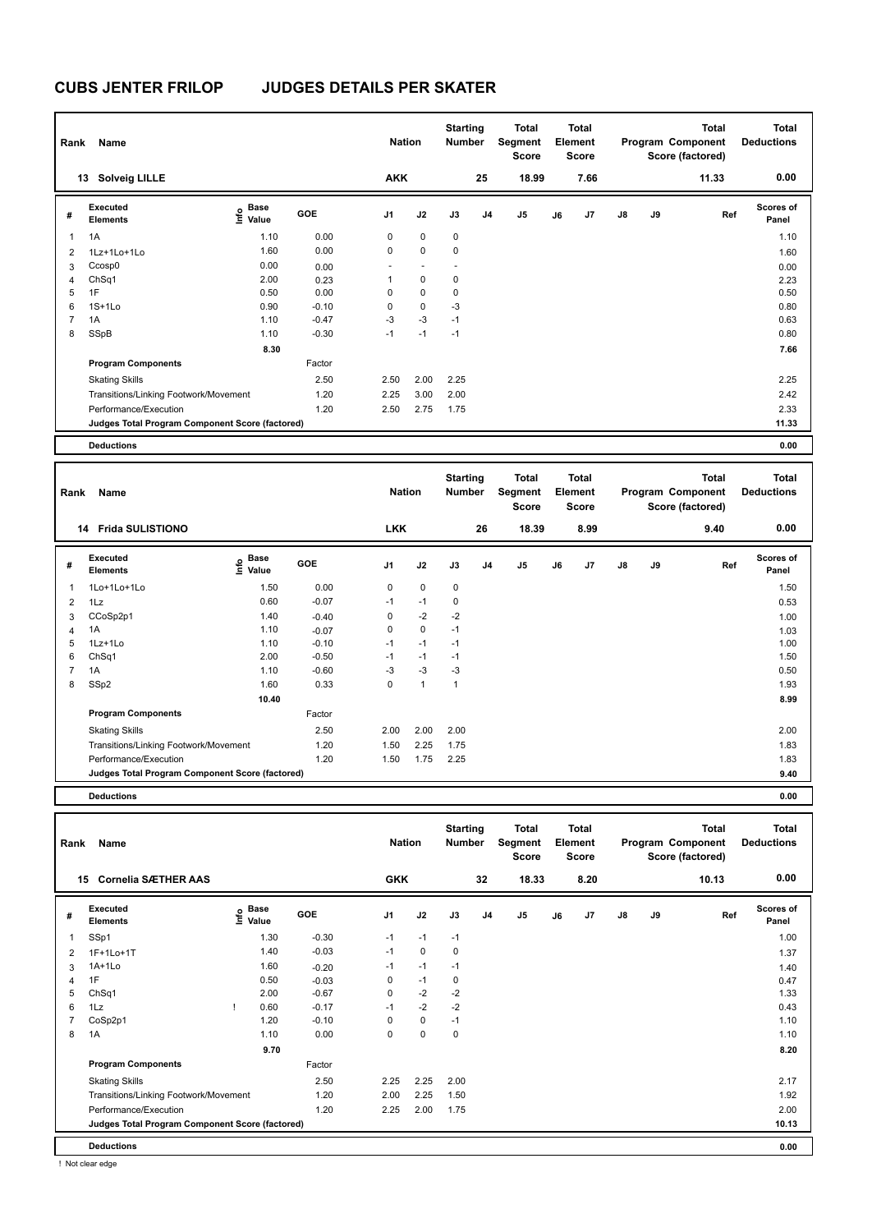| Rank           | Name                                            |                              |            | <b>Nation</b>  |             | <b>Starting</b><br><b>Number</b> |                | Total<br>Segment<br><b>Score</b> |    | <b>Total</b><br>Element<br><b>Score</b> |               |    | <b>Total</b><br>Program Component<br>Score (factored) | Total<br><b>Deductions</b> |
|----------------|-------------------------------------------------|------------------------------|------------|----------------|-------------|----------------------------------|----------------|----------------------------------|----|-----------------------------------------|---------------|----|-------------------------------------------------------|----------------------------|
|                | <b>Solveig LILLE</b><br>13                      |                              |            | <b>AKK</b>     |             |                                  | 25             | 18.99                            |    | 7.66                                    |               |    | 11.33                                                 | 0.00                       |
| #              | Executed<br><b>Elements</b>                     | <b>Base</b><br>Info<br>Value | <b>GOE</b> | J <sub>1</sub> | J2          | J3                               | J <sub>4</sub> | J5                               | J6 | J7                                      | $\mathsf{J}8$ | J9 | Ref                                                   | <b>Scores of</b><br>Panel  |
| 1              | 1A                                              | 1.10                         | 0.00       | 0              | $\mathbf 0$ | $\mathbf 0$                      |                |                                  |    |                                         |               |    |                                                       | 1.10                       |
| 2              | 1Lz+1Lo+1Lo                                     | 1.60                         | 0.00       | 0              | $\mathbf 0$ | 0                                |                |                                  |    |                                         |               |    |                                                       | 1.60                       |
| 3              | Ccosp0                                          | 0.00                         | 0.00       |                |             |                                  |                |                                  |    |                                         |               |    |                                                       | 0.00                       |
| 4              | ChSq1                                           | 2.00                         | 0.23       | 1              | 0           | 0                                |                |                                  |    |                                         |               |    |                                                       | 2.23                       |
| 5              | 1F                                              | 0.50                         | 0.00       | 0              | 0           | 0                                |                |                                  |    |                                         |               |    |                                                       | 0.50                       |
| 6              | $1S+1Lo$                                        | 0.90                         | $-0.10$    | 0              | 0           | $-3$                             |                |                                  |    |                                         |               |    |                                                       | 0.80                       |
| $\overline{7}$ | 1A                                              | 1.10                         | $-0.47$    | $-3$           | $-3$        | $-1$                             |                |                                  |    |                                         |               |    |                                                       | 0.63                       |
| 8              | SSpB                                            | 1.10                         | $-0.30$    | $-1$           | $-1$        | $-1$                             |                |                                  |    |                                         |               |    |                                                       | 0.80                       |
|                |                                                 | 8.30                         |            |                |             |                                  |                |                                  |    |                                         |               |    |                                                       | 7.66                       |
|                | <b>Program Components</b>                       |                              | Factor     |                |             |                                  |                |                                  |    |                                         |               |    |                                                       |                            |
|                | <b>Skating Skills</b>                           |                              | 2.50       | 2.50           | 2.00        | 2.25                             |                |                                  |    |                                         |               |    |                                                       | 2.25                       |
|                | Transitions/Linking Footwork/Movement           |                              | 1.20       | 2.25           | 3.00        | 2.00                             |                |                                  |    |                                         |               |    |                                                       | 2.42                       |
|                | Performance/Execution                           |                              | 1.20       | 2.50           | 2.75        | 1.75                             |                |                                  |    |                                         |               |    |                                                       | 2.33                       |
|                | Judges Total Program Component Score (factored) |                              |            |                |             |                                  |                |                                  |    |                                         |               |    |                                                       | 11.33                      |
|                | <b>Deductions</b>                               |                              |            |                |             |                                  |                |                                  |    |                                         |               |    |                                                       | 0.00                       |

| Rank           | Name                                            |                                  |         | <b>Nation</b>  |                      | <b>Starting</b><br><b>Number</b> |                | Total<br>Segment<br><b>Score</b> |    | <b>Total</b><br>Element<br><b>Score</b> |               |    | <b>Total</b><br>Program Component<br>Score (factored) | <b>Total</b><br><b>Deductions</b> |
|----------------|-------------------------------------------------|----------------------------------|---------|----------------|----------------------|----------------------------------|----------------|----------------------------------|----|-----------------------------------------|---------------|----|-------------------------------------------------------|-----------------------------------|
|                | <b>Frida SULISTIONO</b><br>14                   |                                  |         | <b>LKK</b>     |                      |                                  | 26             | 18.39                            |    | 8.99                                    |               |    | 9.40                                                  | 0.00                              |
| #              | Executed<br><b>Elements</b>                     | <b>Base</b><br>e Base<br>⊆ Value | GOE     | J <sub>1</sub> | J2                   | J3                               | J <sub>4</sub> | J <sub>5</sub>                   | J6 | J7                                      | $\mathsf{J}8$ | J9 | Ref                                                   | <b>Scores of</b><br>Panel         |
| 1              | 1Lo+1Lo+1Lo                                     | 1.50                             | 0.00    | 0              | $\mathbf 0$          | $\mathbf 0$                      |                |                                  |    |                                         |               |    |                                                       | 1.50                              |
| 2              | 1Lz                                             | 0.60                             | $-0.07$ | $-1$           | $-1$                 | 0                                |                |                                  |    |                                         |               |    |                                                       | 0.53                              |
| 3              | CCoSp2p1                                        | 1.40                             | $-0.40$ | 0              | $-2$                 | $-2$                             |                |                                  |    |                                         |               |    |                                                       | 1.00                              |
| $\overline{4}$ | 1A                                              | 1.10                             | $-0.07$ | 0              | $\mathbf 0$          | $-1$                             |                |                                  |    |                                         |               |    |                                                       | 1.03                              |
| 5              | $1Lz+1Lo$                                       | 1.10                             | $-0.10$ | $-1$           | $-1$                 | $-1$                             |                |                                  |    |                                         |               |    |                                                       | 1.00                              |
| 6              | ChSq1                                           | 2.00                             | $-0.50$ | $-1$           | $-1$                 | $-1$                             |                |                                  |    |                                         |               |    |                                                       | 1.50                              |
| $\overline{7}$ | 1A                                              | 1.10                             | $-0.60$ | $-3$           | $-3$                 | -3                               |                |                                  |    |                                         |               |    |                                                       | 0.50                              |
| 8              | SSp2                                            | 1.60                             | 0.33    | 0              | $\blacktriangleleft$ | 1                                |                |                                  |    |                                         |               |    |                                                       | 1.93                              |
|                |                                                 | 10.40                            |         |                |                      |                                  |                |                                  |    |                                         |               |    |                                                       | 8.99                              |
|                | <b>Program Components</b>                       |                                  | Factor  |                |                      |                                  |                |                                  |    |                                         |               |    |                                                       |                                   |
|                | <b>Skating Skills</b>                           |                                  | 2.50    | 2.00           | 2.00                 | 2.00                             |                |                                  |    |                                         |               |    |                                                       | 2.00                              |
|                | Transitions/Linking Footwork/Movement           |                                  | 1.20    | 1.50           | 2.25                 | 1.75                             |                |                                  |    |                                         |               |    |                                                       | 1.83                              |
|                | Performance/Execution                           |                                  | 1.20    | 1.50           | 1.75                 | 2.25                             |                |                                  |    |                                         |               |    |                                                       | 1.83                              |
|                | Judges Total Program Component Score (factored) |                                  |         |                |                      |                                  |                |                                  |    |                                         |               |    |                                                       | 9.40                              |
|                | <b>Deductions</b>                               |                                  |         |                |                      |                                  |                |                                  |    |                                         |               |    |                                                       | 0.00                              |

| Rank           | Name                                            |      |                      |            | <b>Nation</b>  |             | <b>Starting</b><br><b>Number</b> |                | <b>Total</b><br>Segment<br><b>Score</b> |    | <b>Total</b><br>Element<br>Score |               |    | <b>Total</b><br>Program Component<br>Score (factored) | Total<br><b>Deductions</b> |
|----------------|-------------------------------------------------|------|----------------------|------------|----------------|-------------|----------------------------------|----------------|-----------------------------------------|----|----------------------------------|---------------|----|-------------------------------------------------------|----------------------------|
|                | <b>Cornelia SÆTHER AAS</b><br>15                |      |                      |            | <b>GKK</b>     |             |                                  | 32             | 18.33                                   |    | 8.20                             |               |    | 10.13                                                 | 0.00                       |
| #              | Executed<br><b>Elements</b>                     | lnfo | <b>Base</b><br>Value | <b>GOE</b> | J <sub>1</sub> | J2          | J3                               | J <sub>4</sub> | J5                                      | J6 | J <sub>7</sub>                   | $\mathsf{J}8$ | J9 | Ref                                                   | <b>Scores of</b><br>Panel  |
| 1              | SSp1                                            |      | 1.30                 | $-0.30$    | $-1$           | $-1$        | $-1$                             |                |                                         |    |                                  |               |    |                                                       | 1.00                       |
| $\overline{2}$ | 1F+1Lo+1T                                       |      | 1.40                 | $-0.03$    | $-1$           | $\mathbf 0$ | $\mathbf 0$                      |                |                                         |    |                                  |               |    |                                                       | 1.37                       |
| 3              | $1A+1Lo$                                        |      | 1.60                 | $-0.20$    | $-1$           | $-1$        | $-1$                             |                |                                         |    |                                  |               |    |                                                       | 1.40                       |
| $\overline{4}$ | 1F                                              |      | 0.50                 | $-0.03$    | 0              | $-1$        | $\mathbf 0$                      |                |                                         |    |                                  |               |    |                                                       | 0.47                       |
| 5              | ChSq1                                           |      | 2.00                 | $-0.67$    | 0              | $-2$        | $-2$                             |                |                                         |    |                                  |               |    |                                                       | 1.33                       |
| 6              | 1Lz                                             |      | 0.60                 | $-0.17$    | $-1$           | $-2$        | $-2$                             |                |                                         |    |                                  |               |    |                                                       | 0.43                       |
| 7              | CoSp2p1                                         |      | 1.20                 | $-0.10$    | $\Omega$       | $\mathbf 0$ | $-1$                             |                |                                         |    |                                  |               |    |                                                       | 1.10                       |
| 8              | 1A                                              |      | 1.10                 | 0.00       | 0              | 0           | $\mathbf 0$                      |                |                                         |    |                                  |               |    |                                                       | 1.10                       |
|                |                                                 |      | 9.70                 |            |                |             |                                  |                |                                         |    |                                  |               |    |                                                       | 8.20                       |
|                | <b>Program Components</b>                       |      |                      | Factor     |                |             |                                  |                |                                         |    |                                  |               |    |                                                       |                            |
|                | <b>Skating Skills</b>                           |      |                      | 2.50       | 2.25           | 2.25        | 2.00                             |                |                                         |    |                                  |               |    |                                                       | 2.17                       |
|                | Transitions/Linking Footwork/Movement           |      |                      | 1.20       | 2.00           | 2.25        | 1.50                             |                |                                         |    |                                  |               |    |                                                       | 1.92                       |
|                | Performance/Execution                           |      |                      | 1.20       | 2.25           | 2.00        | 1.75                             |                |                                         |    |                                  |               |    |                                                       | 2.00                       |
|                | Judges Total Program Component Score (factored) |      |                      |            |                |             |                                  |                |                                         |    |                                  |               |    |                                                       | 10.13                      |
|                | <b>Deductions</b>                               |      |                      |            |                |             |                                  |                |                                         |    |                                  |               |    |                                                       | 0.00                       |

! Not clear edge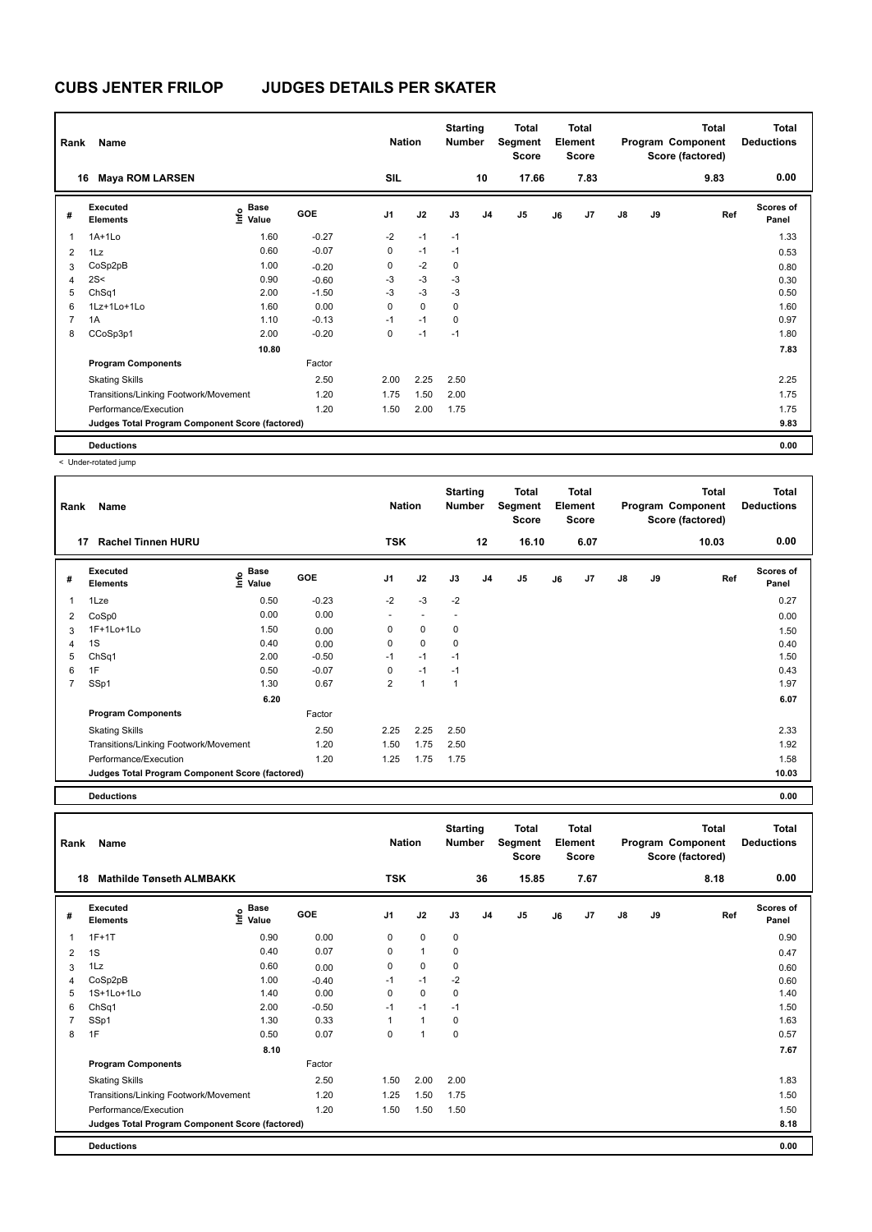| Rank           | Name                                            |                           |            | <b>Nation</b>  |             | <b>Starting</b><br><b>Number</b> |                | Total<br>Segment<br><b>Score</b> |    | Total<br>Element<br><b>Score</b> |               |    | <b>Total</b><br>Program Component<br>Score (factored) | Total<br><b>Deductions</b> |
|----------------|-------------------------------------------------|---------------------------|------------|----------------|-------------|----------------------------------|----------------|----------------------------------|----|----------------------------------|---------------|----|-------------------------------------------------------|----------------------------|
| 16             | <b>Maya ROM LARSEN</b>                          |                           |            | <b>SIL</b>     |             |                                  | 10             | 17.66                            |    | 7.83                             |               |    | 9.83                                                  | 0.00                       |
| #              | Executed<br><b>Elements</b>                     | Base<br>o Base<br>⊆ Value | <b>GOE</b> | J <sub>1</sub> | J2          | J3                               | J <sub>4</sub> | J <sub>5</sub>                   | J6 | J7                               | $\mathsf{J}8$ | J9 | Ref                                                   | <b>Scores of</b><br>Panel  |
| 1              | $1A+1L0$                                        | 1.60                      | $-0.27$    | $-2$           | $-1$        | $-1$                             |                |                                  |    |                                  |               |    |                                                       | 1.33                       |
| $\overline{2}$ | 1Lz                                             | 0.60                      | $-0.07$    | 0              | $-1$        | $-1$                             |                |                                  |    |                                  |               |    |                                                       | 0.53                       |
| 3              | CoSp2pB                                         | 1.00                      | $-0.20$    | 0              | $-2$        | $\mathbf 0$                      |                |                                  |    |                                  |               |    |                                                       | 0.80                       |
| $\overline{4}$ | 2S<                                             | 0.90                      | $-0.60$    | -3             | $-3$        | $-3$                             |                |                                  |    |                                  |               |    |                                                       | 0.30                       |
| 5              | ChSq1                                           | 2.00                      | $-1.50$    | $-3$           | $-3$        | $-3$                             |                |                                  |    |                                  |               |    |                                                       | 0.50                       |
| 6              | 1Lz+1Lo+1Lo                                     | 1.60                      | 0.00       | 0              | $\mathbf 0$ | 0                                |                |                                  |    |                                  |               |    |                                                       | 1.60                       |
| $\overline{7}$ | 1A                                              | 1.10                      | $-0.13$    | $-1$           | $-1$        | 0                                |                |                                  |    |                                  |               |    |                                                       | 0.97                       |
| 8              | CCoSp3p1                                        | 2.00                      | $-0.20$    | 0              | $-1$        | $-1$                             |                |                                  |    |                                  |               |    |                                                       | 1.80                       |
|                |                                                 | 10.80                     |            |                |             |                                  |                |                                  |    |                                  |               |    |                                                       | 7.83                       |
|                | <b>Program Components</b>                       |                           | Factor     |                |             |                                  |                |                                  |    |                                  |               |    |                                                       |                            |
|                | <b>Skating Skills</b>                           |                           | 2.50       | 2.00           | 2.25        | 2.50                             |                |                                  |    |                                  |               |    |                                                       | 2.25                       |
|                | Transitions/Linking Footwork/Movement           |                           | 1.20       | 1.75           | 1.50        | 2.00                             |                |                                  |    |                                  |               |    |                                                       | 1.75                       |
|                | Performance/Execution                           |                           | 1.20       | 1.50           | 2.00        | 1.75                             |                |                                  |    |                                  |               |    |                                                       | 1.75                       |
|                | Judges Total Program Component Score (factored) |                           |            |                |             |                                  |                |                                  |    |                                  |               |    |                                                       | 9.83                       |
|                | <b>Deductions</b>                               |                           |            |                |             |                                  |                |                                  |    |                                  |               |    |                                                       | 0.00                       |

< Under-rotated jump

| Rank         | Name                                            |                                     |         | <b>Nation</b>  |      | <b>Starting</b><br><b>Number</b> |                | Total<br>Segment<br><b>Score</b> |    | <b>Total</b><br>Element<br><b>Score</b> |               |    | <b>Total</b><br>Program Component<br>Score (factored) | <b>Total</b><br><b>Deductions</b> |
|--------------|-------------------------------------------------|-------------------------------------|---------|----------------|------|----------------------------------|----------------|----------------------------------|----|-----------------------------------------|---------------|----|-------------------------------------------------------|-----------------------------------|
|              | <b>Rachel Tinnen HURU</b><br>17                 |                                     |         | <b>TSK</b>     |      |                                  | 12             | 16.10                            |    | 6.07                                    |               |    | 10.03                                                 | 0.00                              |
| #            | Executed<br><b>Elements</b>                     | <b>Base</b><br><b>Info</b><br>Value | GOE     | J <sub>1</sub> | J2   | J3                               | J <sub>4</sub> | J5                               | J6 | J7                                      | $\mathsf{J}8$ | J9 | Ref                                                   | <b>Scores of</b><br>Panel         |
| $\mathbf{1}$ | 1Lze                                            | 0.50                                | $-0.23$ | $-2$           | $-3$ | $-2$                             |                |                                  |    |                                         |               |    |                                                       | 0.27                              |
| 2            | CoSp0                                           | 0.00                                | 0.00    |                |      |                                  |                |                                  |    |                                         |               |    |                                                       | 0.00                              |
| 3            | 1F+1Lo+1Lo                                      | 1.50                                | 0.00    | 0              | 0    | 0                                |                |                                  |    |                                         |               |    |                                                       | 1.50                              |
| 4            | 1S                                              | 0.40                                | 0.00    | 0              | 0    | 0                                |                |                                  |    |                                         |               |    |                                                       | 0.40                              |
| 5            | ChSq1                                           | 2.00                                | $-0.50$ | $-1$           | $-1$ | $-1$                             |                |                                  |    |                                         |               |    |                                                       | 1.50                              |
| 6            | 1F                                              | 0.50                                | $-0.07$ | 0              | $-1$ | $-1$                             |                |                                  |    |                                         |               |    |                                                       | 0.43                              |
| 7            | SSp1                                            | 1.30                                | 0.67    | $\overline{2}$ | 1    | $\mathbf{1}$                     |                |                                  |    |                                         |               |    |                                                       | 1.97                              |
|              |                                                 | 6.20                                |         |                |      |                                  |                |                                  |    |                                         |               |    |                                                       | 6.07                              |
|              | <b>Program Components</b>                       |                                     | Factor  |                |      |                                  |                |                                  |    |                                         |               |    |                                                       |                                   |
|              | <b>Skating Skills</b>                           |                                     | 2.50    | 2.25           | 2.25 | 2.50                             |                |                                  |    |                                         |               |    |                                                       | 2.33                              |
|              | Transitions/Linking Footwork/Movement           |                                     | 1.20    | 1.50           | 1.75 | 2.50                             |                |                                  |    |                                         |               |    |                                                       | 1.92                              |
|              | Performance/Execution                           |                                     | 1.20    | 1.25           | 1.75 | 1.75                             |                |                                  |    |                                         |               |    |                                                       | 1.58                              |
|              | Judges Total Program Component Score (factored) |                                     |         |                |      |                                  |                |                                  |    |                                         |               |    |                                                       | 10.03                             |
|              | <b>Deductions</b>                               |                                     |         |                |      |                                  |                |                                  |    |                                         |               |    |                                                       | 0.00                              |

| Rank           | Name                                            |                                    |            | <b>Nation</b>  |              | <b>Starting</b><br><b>Number</b> |                | <b>Total</b><br>Segment<br><b>Score</b> |    | <b>Total</b><br>Element<br><b>Score</b> |               |    | <b>Total</b><br>Program Component<br>Score (factored) | Total<br><b>Deductions</b> |
|----------------|-------------------------------------------------|------------------------------------|------------|----------------|--------------|----------------------------------|----------------|-----------------------------------------|----|-----------------------------------------|---------------|----|-------------------------------------------------------|----------------------------|
| 18             | <b>Mathilde Tønseth ALMBAKK</b>                 |                                    |            | <b>TSK</b>     |              |                                  | 36             | 15.85                                   |    | 7.67                                    |               |    | 8.18                                                  | 0.00                       |
| #              | <b>Executed</b><br><b>Elements</b>              | <b>Base</b><br>$\frac{6}{5}$ Value | <b>GOE</b> | J <sub>1</sub> | J2           | J3                               | J <sub>4</sub> | J <sub>5</sub>                          | J6 | J7                                      | $\mathsf{J}8$ | J9 | Ref                                                   | <b>Scores of</b><br>Panel  |
| 1              | $1F+1T$                                         | 0.90                               | 0.00       | 0              | $\mathbf 0$  | 0                                |                |                                         |    |                                         |               |    |                                                       | 0.90                       |
| 2              | 1S                                              | 0.40                               | 0.07       | 0              | $\mathbf{1}$ | 0                                |                |                                         |    |                                         |               |    |                                                       | 0.47                       |
| 3              | 1Lz                                             | 0.60                               | 0.00       | 0              | 0            | 0                                |                |                                         |    |                                         |               |    |                                                       | 0.60                       |
| 4              | CoSp2pB                                         | 1.00                               | $-0.40$    | $-1$           | $-1$         | $-2$                             |                |                                         |    |                                         |               |    |                                                       | 0.60                       |
| 5              | 1S+1Lo+1Lo                                      | 1.40                               | 0.00       | 0              | $\mathbf 0$  | 0                                |                |                                         |    |                                         |               |    |                                                       | 1.40                       |
| 6              | ChSq1                                           | 2.00                               | $-0.50$    | $-1$           | $-1$         | $-1$                             |                |                                         |    |                                         |               |    |                                                       | 1.50                       |
| $\overline{7}$ | SSp1                                            | 1.30                               | 0.33       | 1              | $\mathbf{1}$ | 0                                |                |                                         |    |                                         |               |    |                                                       | 1.63                       |
| 8              | 1F                                              | 0.50                               | 0.07       | 0              | $\mathbf{1}$ | 0                                |                |                                         |    |                                         |               |    |                                                       | 0.57                       |
|                |                                                 | 8.10                               |            |                |              |                                  |                |                                         |    |                                         |               |    |                                                       | 7.67                       |
|                | <b>Program Components</b>                       |                                    | Factor     |                |              |                                  |                |                                         |    |                                         |               |    |                                                       |                            |
|                | <b>Skating Skills</b>                           |                                    | 2.50       | 1.50           | 2.00         | 2.00                             |                |                                         |    |                                         |               |    |                                                       | 1.83                       |
|                | Transitions/Linking Footwork/Movement           |                                    | 1.20       | 1.25           | 1.50         | 1.75                             |                |                                         |    |                                         |               |    |                                                       | 1.50                       |
|                | Performance/Execution                           |                                    | 1.20       | 1.50           | 1.50         | 1.50                             |                |                                         |    |                                         |               |    |                                                       | 1.50                       |
|                | Judges Total Program Component Score (factored) |                                    |            |                |              |                                  |                |                                         |    |                                         |               |    |                                                       | 8.18                       |
|                | <b>Deductions</b>                               |                                    |            |                |              |                                  |                |                                         |    |                                         |               |    |                                                       | 0.00                       |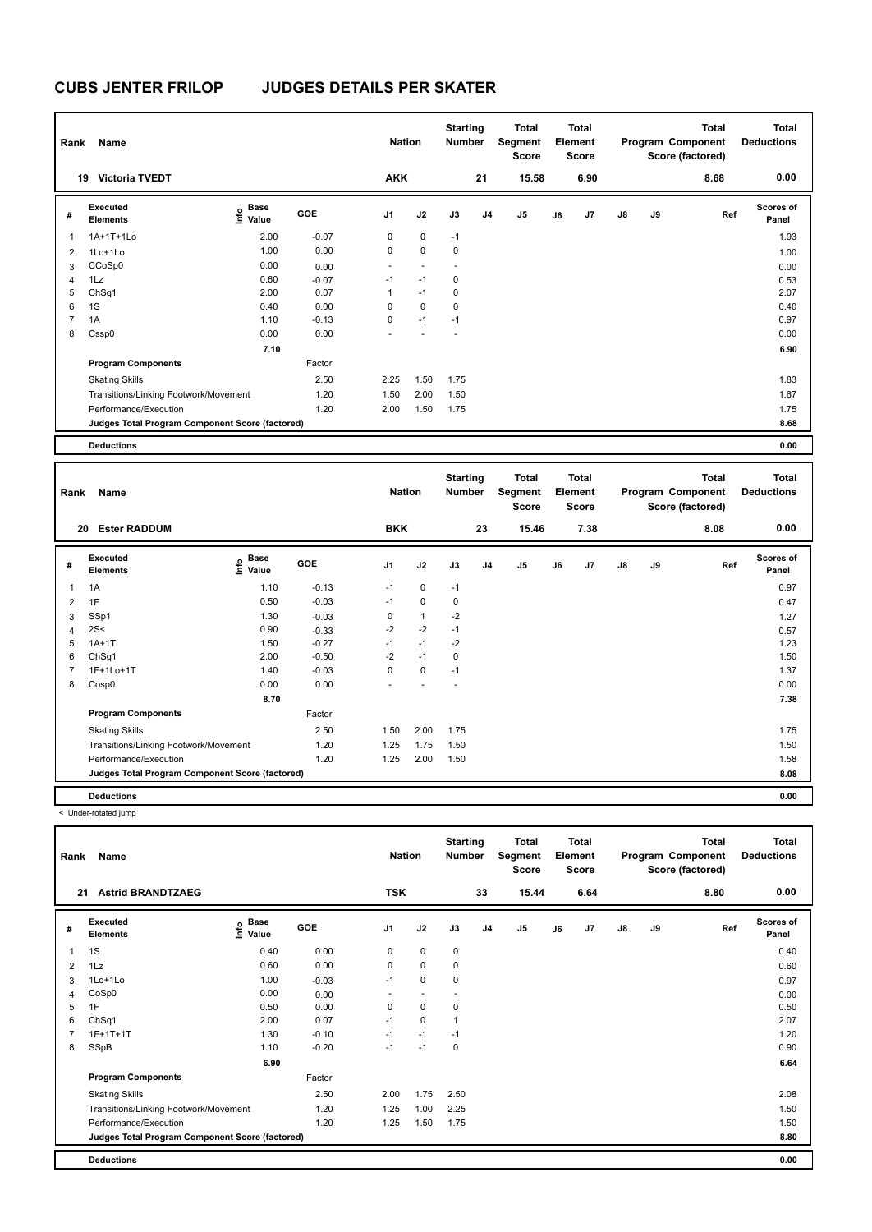| Rank           | Name                                            |                                  |         | <b>Nation</b>            |                          | <b>Starting</b><br>Number |    | <b>Total</b><br>Segment<br><b>Score</b> |    | <b>Total</b><br>Element<br><b>Score</b> |               |    | <b>Total</b><br>Program Component<br>Score (factored) | Total<br><b>Deductions</b> |
|----------------|-------------------------------------------------|----------------------------------|---------|--------------------------|--------------------------|---------------------------|----|-----------------------------------------|----|-----------------------------------------|---------------|----|-------------------------------------------------------|----------------------------|
|                | <b>Victoria TVEDT</b><br>19                     |                                  |         | <b>AKK</b>               |                          |                           | 21 | 15.58                                   |    | 6.90                                    |               |    | 8.68                                                  | 0.00                       |
| #              | Executed<br><b>Elements</b>                     | <b>Base</b><br>o Base<br>⊆ Value | GOE     | J1                       | J2                       | J3                        | J4 | J5                                      | J6 | J7                                      | $\mathsf{J}8$ | J9 | Ref                                                   | <b>Scores of</b><br>Panel  |
|                | 1A+1T+1Lo                                       | 2.00                             | $-0.07$ | 0                        | $\mathbf 0$              | $-1$                      |    |                                         |    |                                         |               |    |                                                       | 1.93                       |
| 2              | 1Lo+1Lo                                         | 1.00                             | 0.00    | 0                        | $\mathbf 0$              | $\mathbf 0$               |    |                                         |    |                                         |               |    |                                                       | 1.00                       |
| 3              | CCoSp0                                          | 0.00                             | 0.00    | $\overline{\phantom{a}}$ | $\overline{\phantom{a}}$ |                           |    |                                         |    |                                         |               |    |                                                       | 0.00                       |
| 4              | 1Lz                                             | 0.60                             | $-0.07$ | $-1$                     | $-1$                     | 0                         |    |                                         |    |                                         |               |    |                                                       | 0.53                       |
| 5              | ChSq1                                           | 2.00                             | 0.07    | 1                        | $-1$                     | 0                         |    |                                         |    |                                         |               |    |                                                       | 2.07                       |
| 6              | 1S                                              | 0.40                             | 0.00    | 0                        | $\mathbf 0$              | 0                         |    |                                         |    |                                         |               |    |                                                       | 0.40                       |
| $\overline{7}$ | 1A                                              | 1.10                             | $-0.13$ | 0                        | $-1$                     | $-1$                      |    |                                         |    |                                         |               |    |                                                       | 0.97                       |
| 8              | Cssp0                                           | 0.00                             | 0.00    |                          |                          |                           |    |                                         |    |                                         |               |    |                                                       | 0.00                       |
|                |                                                 | 7.10                             |         |                          |                          |                           |    |                                         |    |                                         |               |    |                                                       | 6.90                       |
|                | <b>Program Components</b>                       |                                  | Factor  |                          |                          |                           |    |                                         |    |                                         |               |    |                                                       |                            |
|                | <b>Skating Skills</b>                           |                                  | 2.50    | 2.25                     | 1.50                     | 1.75                      |    |                                         |    |                                         |               |    |                                                       | 1.83                       |
|                | Transitions/Linking Footwork/Movement           |                                  | 1.20    | 1.50                     | 2.00                     | 1.50                      |    |                                         |    |                                         |               |    |                                                       | 1.67                       |
|                | Performance/Execution                           |                                  | 1.20    | 2.00                     | 1.50                     | 1.75                      |    |                                         |    |                                         |               |    |                                                       | 1.75                       |
|                | Judges Total Program Component Score (factored) |                                  |         |                          |                          |                           |    |                                         |    |                                         |               |    |                                                       | 8.68                       |
|                | <b>Deductions</b>                               |                                  |         |                          |                          |                           |    |                                         |    |                                         |               |    |                                                       | 0.00                       |

| Rank           | Name                                            |                                  |            | <b>Nation</b> |              | <b>Starting</b><br><b>Number</b> |                | <b>Total</b><br>Segment<br><b>Score</b> |    | <b>Total</b><br>Element<br><b>Score</b> |               |    | <b>Total</b><br>Program Component<br>Score (factored) | <b>Total</b><br><b>Deductions</b> |
|----------------|-------------------------------------------------|----------------------------------|------------|---------------|--------------|----------------------------------|----------------|-----------------------------------------|----|-----------------------------------------|---------------|----|-------------------------------------------------------|-----------------------------------|
| 20             | <b>Ester RADDUM</b>                             |                                  |            | <b>BKK</b>    |              |                                  | 23             | 15.46                                   |    | 7.38                                    |               |    | 8.08                                                  | 0.00                              |
| #              | Executed<br><b>Elements</b>                     | <b>Base</b><br>e Base<br>⊆ Value | <b>GOE</b> | J1            | J2           | J3                               | J <sub>4</sub> | J <sub>5</sub>                          | J6 | J <sub>7</sub>                          | $\mathsf{J}8$ | J9 | Ref                                                   | <b>Scores of</b><br>Panel         |
| $\overline{1}$ | 1A                                              | 1.10                             | $-0.13$    | $-1$          | 0            | $-1$                             |                |                                         |    |                                         |               |    |                                                       | 0.97                              |
| $\overline{2}$ | 1F                                              | 0.50                             | $-0.03$    | $-1$          | $\mathbf 0$  | $\mathbf 0$                      |                |                                         |    |                                         |               |    |                                                       | 0.47                              |
| 3              | SSp1                                            | 1.30                             | $-0.03$    | 0             | $\mathbf{1}$ | $-2$                             |                |                                         |    |                                         |               |    |                                                       | 1.27                              |
| 4              | 2S<                                             | 0.90                             | $-0.33$    | $-2$          | $-2$         | $-1$                             |                |                                         |    |                                         |               |    |                                                       | 0.57                              |
| 5              | $1A+1T$                                         | 1.50                             | $-0.27$    | $-1$          | $-1$         | $-2$                             |                |                                         |    |                                         |               |    |                                                       | 1.23                              |
| 6              | ChSq1                                           | 2.00                             | $-0.50$    | $-2$          | $-1$         | 0                                |                |                                         |    |                                         |               |    |                                                       | 1.50                              |
| $\overline{7}$ | 1F+1Lo+1T                                       | 1.40                             | $-0.03$    | 0             | $\mathbf 0$  | $-1$                             |                |                                         |    |                                         |               |    |                                                       | 1.37                              |
| 8              | Cosp0                                           | 0.00                             | 0.00       |               |              |                                  |                |                                         |    |                                         |               |    |                                                       | 0.00                              |
|                |                                                 | 8.70                             |            |               |              |                                  |                |                                         |    |                                         |               |    |                                                       | 7.38                              |
|                | <b>Program Components</b>                       |                                  | Factor     |               |              |                                  |                |                                         |    |                                         |               |    |                                                       |                                   |
|                | <b>Skating Skills</b>                           |                                  | 2.50       | 1.50          | 2.00         | 1.75                             |                |                                         |    |                                         |               |    |                                                       | 1.75                              |
|                | Transitions/Linking Footwork/Movement           |                                  | 1.20       | 1.25          | 1.75         | 1.50                             |                |                                         |    |                                         |               |    |                                                       | 1.50                              |
|                | Performance/Execution                           |                                  | 1.20       | 1.25          | 2.00         | 1.50                             |                |                                         |    |                                         |               |    |                                                       | 1.58                              |
|                | Judges Total Program Component Score (factored) |                                  |            |               |              |                                  |                |                                         |    |                                         |               |    |                                                       | 8.08                              |
|                | <b>Deductions</b>                               |                                  |            |               |              |                                  |                |                                         |    |                                         |               |    |                                                       | 0.00                              |

< Under-rotated jump

| Rank                    | Name                                            |                                             |            | <b>Nation</b>  |                | <b>Starting</b><br><b>Number</b> |                | <b>Total</b><br>Segment<br><b>Score</b> |    | <b>Total</b><br>Element<br><b>Score</b> |               |    | Total<br>Program Component<br>Score (factored) | Total<br><b>Deductions</b> |
|-------------------------|-------------------------------------------------|---------------------------------------------|------------|----------------|----------------|----------------------------------|----------------|-----------------------------------------|----|-----------------------------------------|---------------|----|------------------------------------------------|----------------------------|
| 21                      | <b>Astrid BRANDTZAEG</b>                        |                                             |            | <b>TSK</b>     |                |                                  | 33             | 15.44                                   |    | 6.64                                    |               |    | 8.80                                           | 0.00                       |
| #                       | <b>Executed</b><br><b>Elements</b>              | <b>Base</b><br>e <sup>Base</sup><br>⊆ Value | <b>GOE</b> | J <sub>1</sub> | J2             | J3                               | J <sub>4</sub> | J <sub>5</sub>                          | J6 | J7                                      | $\mathsf{J}8$ | J9 | Ref                                            | <b>Scores of</b><br>Panel  |
| $\overline{\mathbf{1}}$ | 1S                                              | 0.40                                        | 0.00       | $\mathbf 0$    | $\mathbf 0$    | $\mathbf 0$                      |                |                                         |    |                                         |               |    |                                                | 0.40                       |
| $\overline{2}$          | 1Lz                                             | 0.60                                        | 0.00       | 0              | $\mathbf 0$    | 0                                |                |                                         |    |                                         |               |    |                                                | 0.60                       |
| 3                       | 1Lo+1Lo                                         | 1.00                                        | $-0.03$    | $-1$           | $\mathbf 0$    | 0                                |                |                                         |    |                                         |               |    |                                                | 0.97                       |
| 4                       | CoSp0                                           | 0.00                                        | 0.00       | $\sim$         | $\blacksquare$ | $\overline{\phantom{a}}$         |                |                                         |    |                                         |               |    |                                                | 0.00                       |
| 5                       | 1F                                              | 0.50                                        | 0.00       | 0              | $\mathbf 0$    | 0                                |                |                                         |    |                                         |               |    |                                                | 0.50                       |
| 6                       | ChSq1                                           | 2.00                                        | 0.07       | $-1$           | $\mathbf 0$    | $\overline{1}$                   |                |                                         |    |                                         |               |    |                                                | 2.07                       |
| 7                       | $1F+1T+1T$                                      | 1.30                                        | $-0.10$    | $-1$           | $-1$           | $-1$                             |                |                                         |    |                                         |               |    |                                                | 1.20                       |
| 8                       | SSpB                                            | 1.10                                        | $-0.20$    | $-1$           | $-1$           | 0                                |                |                                         |    |                                         |               |    |                                                | 0.90                       |
|                         |                                                 | 6.90                                        |            |                |                |                                  |                |                                         |    |                                         |               |    |                                                | 6.64                       |
|                         | <b>Program Components</b>                       |                                             | Factor     |                |                |                                  |                |                                         |    |                                         |               |    |                                                |                            |
|                         | <b>Skating Skills</b>                           |                                             | 2.50       | 2.00           | 1.75           | 2.50                             |                |                                         |    |                                         |               |    |                                                | 2.08                       |
|                         | Transitions/Linking Footwork/Movement           |                                             | 1.20       | 1.25           | 1.00           | 2.25                             |                |                                         |    |                                         |               |    |                                                | 1.50                       |
|                         | Performance/Execution                           |                                             | 1.20       | 1.25           | 1.50           | 1.75                             |                |                                         |    |                                         |               |    |                                                | 1.50                       |
|                         | Judges Total Program Component Score (factored) |                                             |            |                |                |                                  |                |                                         |    |                                         |               |    |                                                | 8.80                       |
|                         | <b>Deductions</b>                               |                                             |            |                |                |                                  |                |                                         |    |                                         |               |    |                                                | 0.00                       |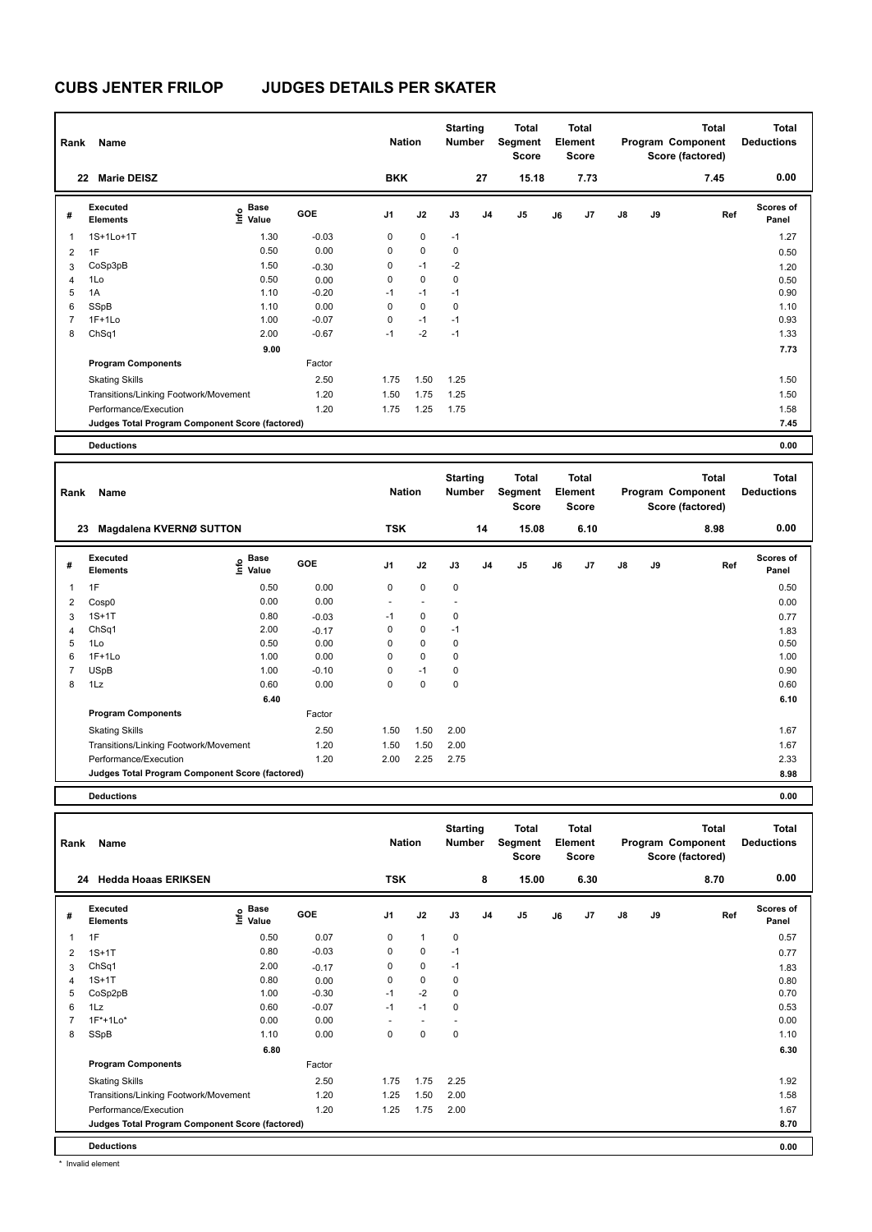| Rank           | Name                                            |                                  |         | <b>Nation</b> |             | <b>Starting</b><br>Number |                | <b>Total</b><br>Segment<br><b>Score</b> |    | Total<br>Element<br><b>Score</b> |               |    | <b>Total</b><br>Program Component<br>Score (factored) | Total<br><b>Deductions</b> |
|----------------|-------------------------------------------------|----------------------------------|---------|---------------|-------------|---------------------------|----------------|-----------------------------------------|----|----------------------------------|---------------|----|-------------------------------------------------------|----------------------------|
|                | <b>Marie DEISZ</b><br>22                        |                                  |         | <b>BKK</b>    |             |                           | 27             | 15.18                                   |    | 7.73                             |               |    | 7.45                                                  | 0.00                       |
| #              | Executed<br><b>Elements</b>                     | <b>Base</b><br>o Base<br>⊆ Value | GOE     | J1            | J2          | J3                        | J <sub>4</sub> | J <sub>5</sub>                          | J6 | J7                               | $\mathsf{J}8$ | J9 | Ref                                                   | <b>Scores of</b><br>Panel  |
| 1              | 1S+1Lo+1T                                       | 1.30                             | $-0.03$ | 0             | $\mathbf 0$ | $-1$                      |                |                                         |    |                                  |               |    |                                                       | 1.27                       |
| $\overline{2}$ | 1F                                              | 0.50                             | 0.00    | 0             | $\mathbf 0$ | $\mathbf 0$               |                |                                         |    |                                  |               |    |                                                       | 0.50                       |
| 3              | CoSp3pB                                         | 1.50                             | $-0.30$ | 0             | $-1$        | $-2$                      |                |                                         |    |                                  |               |    |                                                       | 1.20                       |
| 4              | 1Lo                                             | 0.50                             | 0.00    | 0             | $\mathbf 0$ | 0                         |                |                                         |    |                                  |               |    |                                                       | 0.50                       |
| 5              | 1A                                              | 1.10                             | $-0.20$ | $-1$          | $-1$        | $-1$                      |                |                                         |    |                                  |               |    |                                                       | 0.90                       |
| 6              | SSpB                                            | 1.10                             | 0.00    | 0             | $\mathbf 0$ | $\mathbf 0$               |                |                                         |    |                                  |               |    |                                                       | 1.10                       |
| 7              | $1F+1Lo$                                        | 1.00                             | $-0.07$ | 0             | $-1$        | $-1$                      |                |                                         |    |                                  |               |    |                                                       | 0.93                       |
| 8              | ChSq1                                           | 2.00                             | $-0.67$ | $-1$          | $-2$        | $-1$                      |                |                                         |    |                                  |               |    |                                                       | 1.33                       |
|                |                                                 | 9.00                             |         |               |             |                           |                |                                         |    |                                  |               |    |                                                       | 7.73                       |
|                | <b>Program Components</b>                       |                                  | Factor  |               |             |                           |                |                                         |    |                                  |               |    |                                                       |                            |
|                | <b>Skating Skills</b>                           |                                  | 2.50    | 1.75          | 1.50        | 1.25                      |                |                                         |    |                                  |               |    |                                                       | 1.50                       |
|                | Transitions/Linking Footwork/Movement           |                                  | 1.20    | 1.50          | 1.75        | 1.25                      |                |                                         |    |                                  |               |    |                                                       | 1.50                       |
|                | Performance/Execution                           |                                  | 1.20    | 1.75          | 1.25        | 1.75                      |                |                                         |    |                                  |               |    |                                                       | 1.58                       |
|                | Judges Total Program Component Score (factored) |                                  |         |               |             |                           |                |                                         |    |                                  |               |    |                                                       | 7.45                       |
|                | <b>Deductions</b>                               |                                  |         |               |             |                           |                |                                         |    |                                  |               |    |                                                       | 0.00                       |

| Rank           | Name                                            |                        |            | <b>Nation</b>            |                          | <b>Starting</b><br><b>Number</b> |                | <b>Total</b><br>Segment<br><b>Score</b> |    | <b>Total</b><br>Element<br><b>Score</b> |               |    | <b>Total</b><br>Program Component<br>Score (factored) | <b>Total</b><br><b>Deductions</b> |
|----------------|-------------------------------------------------|------------------------|------------|--------------------------|--------------------------|----------------------------------|----------------|-----------------------------------------|----|-----------------------------------------|---------------|----|-------------------------------------------------------|-----------------------------------|
|                | Magdalena KVERNØ SUTTON<br>23                   |                        |            | <b>TSK</b>               |                          |                                  | 14             | 15.08                                   |    | 6.10                                    |               |    | 8.98                                                  | 0.00                              |
| #              | <b>Executed</b><br><b>Elements</b>              | $\sum_{i=1}^{n}$ Value | <b>GOE</b> | J1                       | J2                       | J3                               | J <sub>4</sub> | J5                                      | J6 | J7                                      | $\mathsf{J}8$ | J9 | Ref                                                   | <b>Scores of</b><br>Panel         |
| 1              | 1F                                              | 0.50                   | 0.00       | 0                        | 0                        | 0                                |                |                                         |    |                                         |               |    |                                                       | 0.50                              |
| 2              | Cosp0                                           | 0.00                   | 0.00       | $\overline{\phantom{a}}$ | $\overline{\phantom{a}}$ |                                  |                |                                         |    |                                         |               |    |                                                       | 0.00                              |
| 3              | $1S+1T$                                         | 0.80                   | $-0.03$    | $-1$                     | $\mathbf 0$              | 0                                |                |                                         |    |                                         |               |    |                                                       | 0.77                              |
| 4              | ChSq1                                           | 2.00                   | $-0.17$    | 0                        | $\pmb{0}$                | $-1$                             |                |                                         |    |                                         |               |    |                                                       | 1.83                              |
| 5              | 1Lo                                             | 0.50                   | 0.00       | 0                        | $\mathbf 0$              | 0                                |                |                                         |    |                                         |               |    |                                                       | 0.50                              |
| 6              | $1F+1Lo$                                        | 1.00                   | 0.00       | 0                        | $\mathbf 0$              | 0                                |                |                                         |    |                                         |               |    |                                                       | 1.00                              |
| $\overline{7}$ | <b>USpB</b>                                     | 1.00                   | $-0.10$    | 0                        | $-1$                     | 0                                |                |                                         |    |                                         |               |    |                                                       | 0.90                              |
| 8              | 1Lz                                             | 0.60                   | 0.00       | $\Omega$                 | $\mathbf 0$              | 0                                |                |                                         |    |                                         |               |    |                                                       | 0.60                              |
|                |                                                 | 6.40                   |            |                          |                          |                                  |                |                                         |    |                                         |               |    |                                                       | 6.10                              |
|                | <b>Program Components</b>                       |                        | Factor     |                          |                          |                                  |                |                                         |    |                                         |               |    |                                                       |                                   |
|                | <b>Skating Skills</b>                           |                        | 2.50       | 1.50                     | 1.50                     | 2.00                             |                |                                         |    |                                         |               |    |                                                       | 1.67                              |
|                | Transitions/Linking Footwork/Movement           |                        | 1.20       | 1.50                     | 1.50                     | 2.00                             |                |                                         |    |                                         |               |    |                                                       | 1.67                              |
|                | Performance/Execution                           |                        | 1.20       | 2.00                     | 2.25                     | 2.75                             |                |                                         |    |                                         |               |    |                                                       | 2.33                              |
|                | Judges Total Program Component Score (factored) |                        |            |                          |                          |                                  |                |                                         |    |                                         |               |    |                                                       | 8.98                              |
|                | <b>Deductions</b>                               |                        |            |                          |                          |                                  |                |                                         |    |                                         |               |    |                                                       | 0.00                              |

| Rank           | Name                                            |                                  |         | <b>Nation</b>  |                | <b>Starting</b><br><b>Number</b> |                | <b>Total</b><br>Segment<br><b>Score</b> |    | <b>Total</b><br>Element<br><b>Score</b> |               |    | Total<br>Program Component<br>Score (factored) | <b>Total</b><br><b>Deductions</b> |
|----------------|-------------------------------------------------|----------------------------------|---------|----------------|----------------|----------------------------------|----------------|-----------------------------------------|----|-----------------------------------------|---------------|----|------------------------------------------------|-----------------------------------|
| 24             | <b>Hedda Hoaas ERIKSEN</b>                      |                                  |         | <b>TSK</b>     |                |                                  | 8              | 15.00                                   |    | 6.30                                    |               |    | 8.70                                           | 0.00                              |
| #              | Executed<br><b>Elements</b>                     | <b>Base</b><br>o Base<br>⊆ Value | GOE     | J <sub>1</sub> | J2             | J3                               | J <sub>4</sub> | J <sub>5</sub>                          | J6 | J7                                      | $\mathsf{J}8$ | J9 | Ref                                            | Scores of<br>Panel                |
| 1              | 1F                                              | 0.50                             | 0.07    | 0              | $\mathbf{1}$   | $\pmb{0}$                        |                |                                         |    |                                         |               |    |                                                | 0.57                              |
| 2              | $1S+1T$                                         | 0.80                             | $-0.03$ | 0              | $\mathbf 0$    | $-1$                             |                |                                         |    |                                         |               |    |                                                | 0.77                              |
| 3              | ChSq1                                           | 2.00                             | $-0.17$ | 0              | $\mathbf 0$    | $-1$                             |                |                                         |    |                                         |               |    |                                                | 1.83                              |
| $\overline{4}$ | $1S+1T$                                         | 0.80                             | 0.00    | 0              | $\mathbf 0$    | 0                                |                |                                         |    |                                         |               |    |                                                | 0.80                              |
| 5              | CoSp2pB                                         | 1.00                             | $-0.30$ | $-1$           | $-2$           | $\mathbf 0$                      |                |                                         |    |                                         |               |    |                                                | 0.70                              |
| 6              | 1Lz                                             | 0.60                             | $-0.07$ | $-1$           | $-1$           | 0                                |                |                                         |    |                                         |               |    |                                                | 0.53                              |
|                | $1F*+1Lo*$                                      | 0.00                             | 0.00    | ٠              | $\blacksquare$ | $\overline{\phantom{a}}$         |                |                                         |    |                                         |               |    |                                                | 0.00                              |
| 8              | SSpB                                            | 1.10                             | 0.00    | 0              | $\mathbf 0$    | $\mathbf 0$                      |                |                                         |    |                                         |               |    |                                                | 1.10                              |
|                |                                                 | 6.80                             |         |                |                |                                  |                |                                         |    |                                         |               |    |                                                | 6.30                              |
|                | <b>Program Components</b>                       |                                  | Factor  |                |                |                                  |                |                                         |    |                                         |               |    |                                                |                                   |
|                | <b>Skating Skills</b>                           |                                  | 2.50    | 1.75           | 1.75           | 2.25                             |                |                                         |    |                                         |               |    |                                                | 1.92                              |
|                | Transitions/Linking Footwork/Movement           |                                  | 1.20    | 1.25           | 1.50           | 2.00                             |                |                                         |    |                                         |               |    |                                                | 1.58                              |
|                | Performance/Execution                           |                                  | 1.20    | 1.25           | 1.75           | 2.00                             |                |                                         |    |                                         |               |    |                                                | 1.67                              |
|                | Judges Total Program Component Score (factored) |                                  |         |                |                |                                  |                |                                         |    |                                         |               |    |                                                | 8.70                              |
|                | <b>Deductions</b>                               |                                  |         |                |                |                                  |                |                                         |    |                                         |               |    |                                                | 0.00                              |

\* Invalid element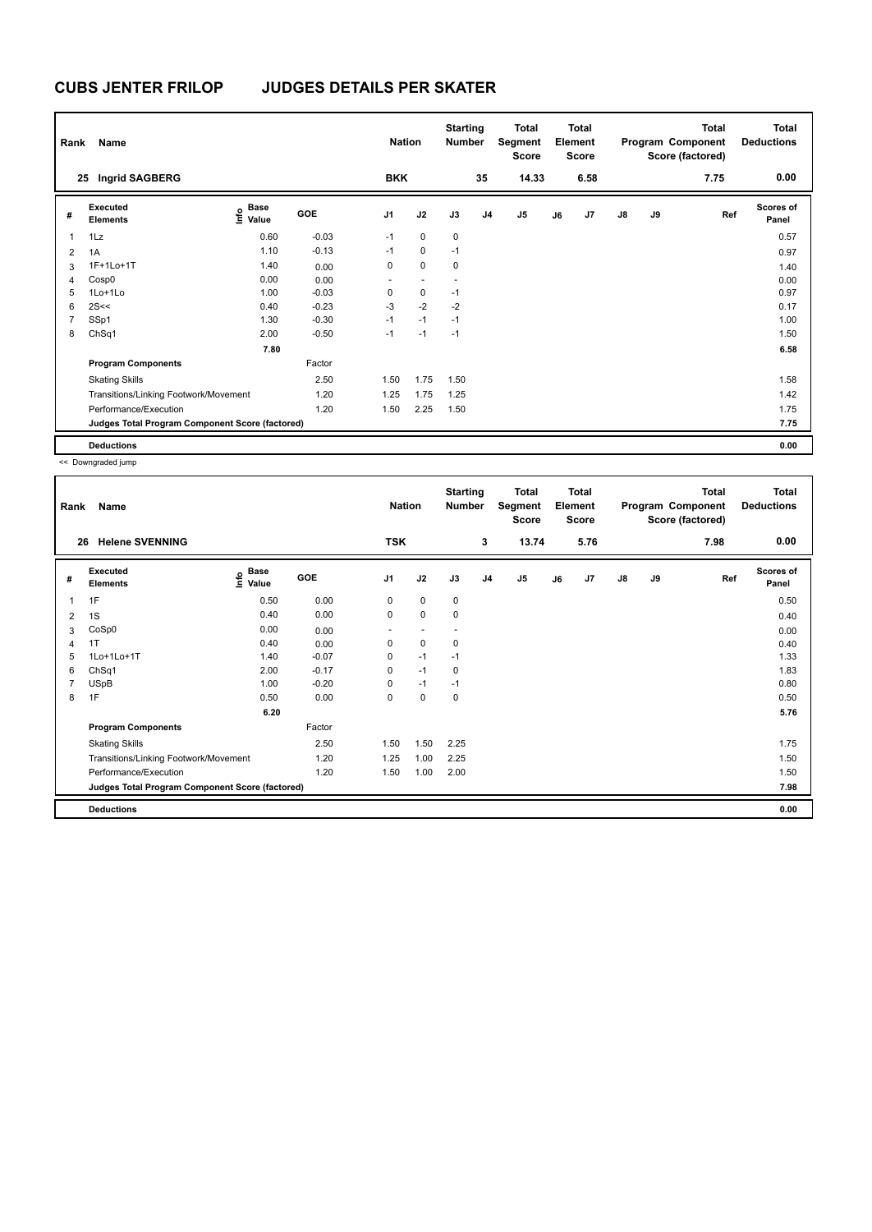| Rank           | Name                                            |                                  |         | <b>Nation</b>  |             | <b>Starting</b><br><b>Number</b> |                | Total<br>Segment<br><b>Score</b> |    | <b>Total</b><br>Element<br><b>Score</b> |               |    | <b>Total</b><br>Program Component<br>Score (factored) | <b>Total</b><br><b>Deductions</b> |
|----------------|-------------------------------------------------|----------------------------------|---------|----------------|-------------|----------------------------------|----------------|----------------------------------|----|-----------------------------------------|---------------|----|-------------------------------------------------------|-----------------------------------|
| 25             | Ingrid SAGBERG                                  |                                  |         | <b>BKK</b>     |             |                                  | 35             | 14.33                            |    | 6.58                                    |               |    | 7.75                                                  | 0.00                              |
| #              | Executed<br><b>Elements</b>                     | <b>Base</b><br>o Base<br>⊆ Value | GOE     | J <sub>1</sub> | J2          | J3                               | J <sub>4</sub> | J <sub>5</sub>                   | J6 | J7                                      | $\mathsf{J}8$ | J9 | Ref                                                   | <b>Scores of</b><br>Panel         |
| $\overline{1}$ | 1Lz                                             | 0.60                             | $-0.03$ | $-1$           | $\mathbf 0$ | 0                                |                |                                  |    |                                         |               |    |                                                       | 0.57                              |
| 2              | 1A                                              | 1.10                             | $-0.13$ | $-1$           | $\mathbf 0$ | $-1$                             |                |                                  |    |                                         |               |    |                                                       | 0.97                              |
| 3              | 1F+1Lo+1T                                       | 1.40                             | 0.00    | 0              | $\Omega$    | 0                                |                |                                  |    |                                         |               |    |                                                       | 1.40                              |
| 4              | Cosp0                                           | 0.00                             | 0.00    | ٠              |             |                                  |                |                                  |    |                                         |               |    |                                                       | 0.00                              |
| 5              | 1Lo+1Lo                                         | 1.00                             | $-0.03$ | 0              | $\mathbf 0$ | $-1$                             |                |                                  |    |                                         |               |    |                                                       | 0.97                              |
| 6              | 2S<<                                            | 0.40                             | $-0.23$ | $-3$           | $-2$        | $-2$                             |                |                                  |    |                                         |               |    |                                                       | 0.17                              |
| $\overline{7}$ | SSp1                                            | 1.30                             | $-0.30$ | $-1$           | $-1$        | $-1$                             |                |                                  |    |                                         |               |    |                                                       | 1.00                              |
| 8              | ChSq1                                           | 2.00                             | $-0.50$ | $-1$           | $-1$        | $-1$                             |                |                                  |    |                                         |               |    |                                                       | 1.50                              |
|                |                                                 | 7.80                             |         |                |             |                                  |                |                                  |    |                                         |               |    |                                                       | 6.58                              |
|                | <b>Program Components</b>                       |                                  | Factor  |                |             |                                  |                |                                  |    |                                         |               |    |                                                       |                                   |
|                | <b>Skating Skills</b>                           |                                  | 2.50    | 1.50           | 1.75        | 1.50                             |                |                                  |    |                                         |               |    |                                                       | 1.58                              |
|                | Transitions/Linking Footwork/Movement           |                                  | 1.20    | 1.25           | 1.75        | 1.25                             |                |                                  |    |                                         |               |    |                                                       | 1.42                              |
|                | Performance/Execution                           |                                  | 1.20    | 1.50           | 2.25        | 1.50                             |                |                                  |    |                                         |               |    |                                                       | 1.75                              |
|                | Judges Total Program Component Score (factored) |                                  |         |                |             |                                  |                |                                  |    |                                         |               |    |                                                       | 7.75                              |
|                | <b>Deductions</b>                               |                                  |         |                |             |                                  |                |                                  |    |                                         |               |    |                                                       | 0.00                              |

<< Downgraded jump

| Rank | Name                                            |                                             |            | <b>Nation</b>            |                          | <b>Starting</b><br>Number |                | <b>Total</b><br>Segment<br>Score |    | <b>Total</b><br>Element<br><b>Score</b> |    |    | <b>Total</b><br>Program Component<br>Score (factored) | <b>Total</b><br><b>Deductions</b> |
|------|-------------------------------------------------|---------------------------------------------|------------|--------------------------|--------------------------|---------------------------|----------------|----------------------------------|----|-----------------------------------------|----|----|-------------------------------------------------------|-----------------------------------|
| 26   | <b>Helene SVENNING</b>                          |                                             |            | <b>TSK</b>               |                          |                           | 3              | 13.74                            |    | 5.76                                    |    |    | 7.98                                                  | 0.00                              |
| #    | <b>Executed</b><br><b>Elements</b>              | <b>Base</b><br>e <sup>Base</sup><br>⊆ Value | <b>GOE</b> | J <sub>1</sub>           | J2                       | J3                        | J <sub>4</sub> | J <sub>5</sub>                   | J6 | J7                                      | J8 | J9 | Ref                                                   | <b>Scores of</b><br>Panel         |
| 1    | 1F                                              | 0.50                                        | 0.00       | 0                        | $\mathbf 0$              | 0                         |                |                                  |    |                                         |    |    |                                                       | 0.50                              |
| 2    | 1S                                              | 0.40                                        | 0.00       | 0                        | 0                        | 0                         |                |                                  |    |                                         |    |    |                                                       | 0.40                              |
| 3    | CoSp0                                           | 0.00                                        | 0.00       | $\overline{\phantom{0}}$ | $\overline{\phantom{a}}$ |                           |                |                                  |    |                                         |    |    |                                                       | 0.00                              |
| 4    | 1T                                              | 0.40                                        | 0.00       | 0                        | $\mathbf 0$              | 0                         |                |                                  |    |                                         |    |    |                                                       | 0.40                              |
| 5    | 1Lo+1Lo+1T                                      | 1.40                                        | $-0.07$    | 0                        | $-1$                     | $-1$                      |                |                                  |    |                                         |    |    |                                                       | 1.33                              |
| 6    | ChSq1                                           | 2.00                                        | $-0.17$    | 0                        | $-1$                     | 0                         |                |                                  |    |                                         |    |    |                                                       | 1.83                              |
| 7    | <b>USpB</b>                                     | 1.00                                        | $-0.20$    | 0                        | $-1$                     | $-1$                      |                |                                  |    |                                         |    |    |                                                       | 0.80                              |
| 8    | 1F                                              | 0.50                                        | 0.00       | 0                        | 0                        | 0                         |                |                                  |    |                                         |    |    |                                                       | 0.50                              |
|      |                                                 | 6.20                                        |            |                          |                          |                           |                |                                  |    |                                         |    |    |                                                       | 5.76                              |
|      | <b>Program Components</b>                       |                                             | Factor     |                          |                          |                           |                |                                  |    |                                         |    |    |                                                       |                                   |
|      | <b>Skating Skills</b>                           |                                             | 2.50       | 1.50                     | 1.50                     | 2.25                      |                |                                  |    |                                         |    |    |                                                       | 1.75                              |
|      | Transitions/Linking Footwork/Movement           |                                             | 1.20       | 1.25                     | 1.00                     | 2.25                      |                |                                  |    |                                         |    |    |                                                       | 1.50                              |
|      | Performance/Execution                           |                                             | 1.20       | 1.50                     | 1.00                     | 2.00                      |                |                                  |    |                                         |    |    |                                                       | 1.50                              |
|      | Judges Total Program Component Score (factored) |                                             |            |                          |                          |                           |                |                                  |    |                                         |    |    |                                                       | 7.98                              |
|      | <b>Deductions</b>                               |                                             |            |                          |                          |                           |                |                                  |    |                                         |    |    |                                                       | 0.00                              |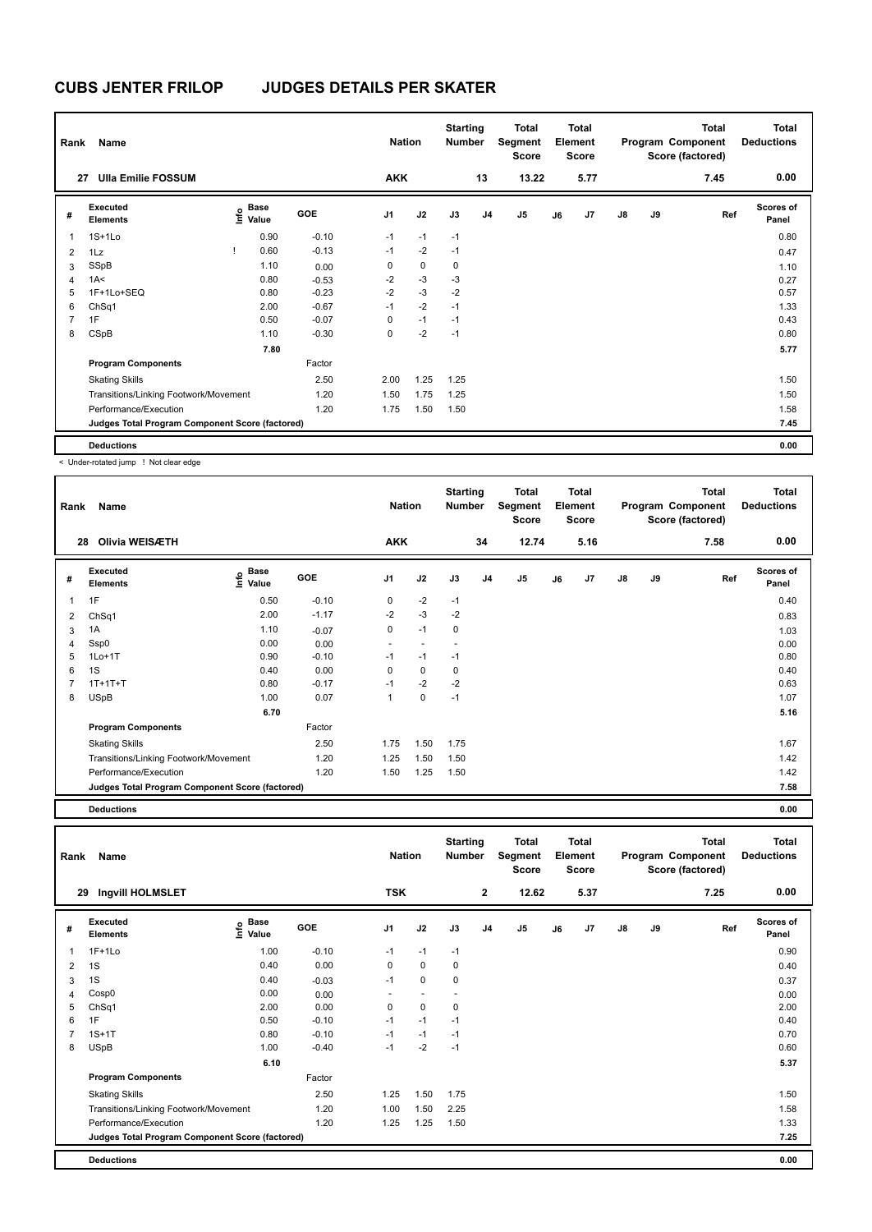| Rank           | Name                                            |                   |             |            | <b>Nation</b>  |      | <b>Starting</b><br><b>Number</b> |                | Total<br>Segment<br><b>Score</b> |    | Total<br>Element<br>Score |               |    | <b>Total</b><br>Program Component<br>Score (factored) | <b>Total</b><br><b>Deductions</b> |
|----------------|-------------------------------------------------|-------------------|-------------|------------|----------------|------|----------------------------------|----------------|----------------------------------|----|---------------------------|---------------|----|-------------------------------------------------------|-----------------------------------|
| 27             | <b>Ulla Emilie FOSSUM</b>                       |                   |             |            | <b>AKK</b>     |      |                                  | 13             | 13.22                            |    | 5.77                      |               |    | 7.45                                                  | 0.00                              |
| #              | Executed<br><b>Elements</b>                     | o Base<br>⊆ Value | <b>Base</b> | <b>GOE</b> | J <sub>1</sub> | J2   | J3                               | J <sub>4</sub> | J <sub>5</sub>                   | J6 | J7                        | $\mathsf{J}8$ | J9 | Ref                                                   | Scores of<br>Panel                |
| 1              | $1S+1Lo$                                        |                   | 0.90        | $-0.10$    | $-1$           | $-1$ | $-1$                             |                |                                  |    |                           |               |    |                                                       | 0.80                              |
| $\overline{2}$ | 1Lz                                             | Ţ                 | 0.60        | $-0.13$    | $-1$           | $-2$ | $-1$                             |                |                                  |    |                           |               |    |                                                       | 0.47                              |
| 3              | SSpB                                            |                   | 1.10        | 0.00       | 0              | 0    | 0                                |                |                                  |    |                           |               |    |                                                       | 1.10                              |
| $\overline{4}$ | 1A<                                             |                   | 0.80        | $-0.53$    | $-2$           | $-3$ | $-3$                             |                |                                  |    |                           |               |    |                                                       | 0.27                              |
| 5              | 1F+1Lo+SEQ                                      |                   | 0.80        | $-0.23$    | $-2$           | $-3$ | $-2$                             |                |                                  |    |                           |               |    |                                                       | 0.57                              |
| 6              | ChSq1                                           |                   | 2.00        | $-0.67$    | $-1$           | $-2$ | $-1$                             |                |                                  |    |                           |               |    |                                                       | 1.33                              |
| $\overline{7}$ | 1F                                              |                   | 0.50        | $-0.07$    | 0              | $-1$ | $-1$                             |                |                                  |    |                           |               |    |                                                       | 0.43                              |
| 8              | CSpB                                            |                   | 1.10        | $-0.30$    | 0              | $-2$ | $-1$                             |                |                                  |    |                           |               |    |                                                       | 0.80                              |
|                |                                                 |                   | 7.80        |            |                |      |                                  |                |                                  |    |                           |               |    |                                                       | 5.77                              |
|                | <b>Program Components</b>                       |                   |             | Factor     |                |      |                                  |                |                                  |    |                           |               |    |                                                       |                                   |
|                | <b>Skating Skills</b>                           |                   |             | 2.50       | 2.00           | 1.25 | 1.25                             |                |                                  |    |                           |               |    |                                                       | 1.50                              |
|                | Transitions/Linking Footwork/Movement           |                   |             | 1.20       | 1.50           | 1.75 | 1.25                             |                |                                  |    |                           |               |    |                                                       | 1.50                              |
|                | Performance/Execution                           |                   |             | 1.20       | 1.75           | 1.50 | 1.50                             |                |                                  |    |                           |               |    |                                                       | 1.58                              |
|                | Judges Total Program Component Score (factored) |                   |             |            |                |      |                                  |                |                                  |    |                           |               |    |                                                       | 7.45                              |
|                | <b>Deductions</b>                               |                   |             |            |                |      |                                  |                |                                  |    |                           |               |    |                                                       | 0.00                              |

< Under-rotated jump ! Not clear edge

| Rank           | Name                                            |                              |         | <b>Nation</b>            |      | <b>Starting</b><br>Number |                | <b>Total</b><br>Segment<br><b>Score</b> |    | <b>Total</b><br>Element<br><b>Score</b> |               |    | Total<br>Program Component<br>Score (factored) | <b>Total</b><br><b>Deductions</b> |
|----------------|-------------------------------------------------|------------------------------|---------|--------------------------|------|---------------------------|----------------|-----------------------------------------|----|-----------------------------------------|---------------|----|------------------------------------------------|-----------------------------------|
|                | Olivia WEISÆTH<br>28                            |                              |         | <b>AKK</b>               |      |                           | 34             | 12.74                                   |    | 5.16                                    |               |    | 7.58                                           | 0.00                              |
| #              | Executed<br><b>Elements</b>                     | <b>Base</b><br>Life<br>Value | GOE     | J <sub>1</sub>           | J2   | J3                        | J <sub>4</sub> | J <sub>5</sub>                          | J6 | J7                                      | $\mathsf{J}8$ | J9 | Ref                                            | <b>Scores of</b><br>Panel         |
| 1              | 1F                                              | 0.50                         | $-0.10$ | 0                        | $-2$ | $-1$                      |                |                                         |    |                                         |               |    |                                                | 0.40                              |
| $\overline{2}$ | ChSq1                                           | 2.00                         | $-1.17$ | $-2$                     | $-3$ | $-2$                      |                |                                         |    |                                         |               |    |                                                | 0.83                              |
| 3              | 1A                                              | 1.10                         | $-0.07$ | 0                        | $-1$ | $\mathbf 0$               |                |                                         |    |                                         |               |    |                                                | 1.03                              |
| 4              | Ssp0                                            | 0.00                         | 0.00    | $\overline{\phantom{a}}$ |      |                           |                |                                         |    |                                         |               |    |                                                | 0.00                              |
| 5              | $1Lo+1T$                                        | 0.90                         | $-0.10$ | $-1$                     | $-1$ | $-1$                      |                |                                         |    |                                         |               |    |                                                | 0.80                              |
| 6              | 1S                                              | 0.40                         | 0.00    | 0                        | 0    | 0                         |                |                                         |    |                                         |               |    |                                                | 0.40                              |
|                | $1T+1T+T$                                       | 0.80                         | $-0.17$ | $-1$                     | $-2$ | $-2$                      |                |                                         |    |                                         |               |    |                                                | 0.63                              |
| 8              | <b>USpB</b>                                     | 1.00                         | 0.07    | $\overline{1}$           | 0    | $-1$                      |                |                                         |    |                                         |               |    |                                                | 1.07                              |
|                |                                                 | 6.70                         |         |                          |      |                           |                |                                         |    |                                         |               |    |                                                | 5.16                              |
|                | <b>Program Components</b>                       |                              | Factor  |                          |      |                           |                |                                         |    |                                         |               |    |                                                |                                   |
|                | <b>Skating Skills</b>                           |                              | 2.50    | 1.75                     | 1.50 | 1.75                      |                |                                         |    |                                         |               |    |                                                | 1.67                              |
|                | Transitions/Linking Footwork/Movement           |                              | 1.20    | 1.25                     | 1.50 | 1.50                      |                |                                         |    |                                         |               |    |                                                | 1.42                              |
|                | Performance/Execution                           |                              | 1.20    | 1.50                     | 1.25 | 1.50                      |                |                                         |    |                                         |               |    |                                                | 1.42                              |
|                | Judges Total Program Component Score (factored) |                              |         |                          |      |                           |                |                                         |    |                                         |               |    |                                                | 7.58                              |
|                |                                                 |                              |         |                          |      |                           |                |                                         |    |                                         |               |    |                                                |                                   |

**Deductions 0.00**

| Rank           | Name                                            |                                  |            | <b>Nation</b> |                          | <b>Starting</b><br>Number |                | <b>Total</b><br>Segment<br><b>Score</b> |    | <b>Total</b><br>Element<br><b>Score</b> |               |    | <b>Total</b><br>Program Component<br>Score (factored) | <b>Total</b><br><b>Deductions</b> |
|----------------|-------------------------------------------------|----------------------------------|------------|---------------|--------------------------|---------------------------|----------------|-----------------------------------------|----|-----------------------------------------|---------------|----|-------------------------------------------------------|-----------------------------------|
| 29             | Ingvill HOLMSLET                                |                                  |            | <b>TSK</b>    |                          |                           | $\mathbf{2}$   | 12.62                                   |    | 5.37                                    |               |    | 7.25                                                  | 0.00                              |
| #              | Executed<br><b>Elements</b>                     | <b>Base</b><br>e Base<br>⊆ Value | <b>GOE</b> | J1            | J2                       | J3                        | J <sub>4</sub> | J5                                      | J6 | J7                                      | $\mathsf{J}8$ | J9 | Ref                                                   | <b>Scores of</b><br>Panel         |
| 1              | $1F+1Lo$                                        | 1.00                             | $-0.10$    | $-1$          | $-1$                     | $-1$                      |                |                                         |    |                                         |               |    |                                                       | 0.90                              |
| $\overline{2}$ | 1S                                              | 0.40                             | 0.00       | 0             | 0                        | 0                         |                |                                         |    |                                         |               |    |                                                       | 0.40                              |
| 3              | 1S                                              | 0.40                             | $-0.03$    | $-1$          | $\mathbf 0$              | 0                         |                |                                         |    |                                         |               |    |                                                       | 0.37                              |
| 4              | Cosp0                                           | 0.00                             | 0.00       |               | $\overline{\phantom{a}}$ |                           |                |                                         |    |                                         |               |    |                                                       | 0.00                              |
| 5              | ChSq1                                           | 2.00                             | 0.00       | 0             | $\mathbf 0$              | 0                         |                |                                         |    |                                         |               |    |                                                       | 2.00                              |
| 6              | 1F                                              | 0.50                             | $-0.10$    | $-1$          | $-1$                     | $-1$                      |                |                                         |    |                                         |               |    |                                                       | 0.40                              |
| 7              | $1S+1T$                                         | 0.80                             | $-0.10$    | $-1$          | $-1$                     | $-1$                      |                |                                         |    |                                         |               |    |                                                       | 0.70                              |
| 8              | USpB                                            | 1.00                             | $-0.40$    | $-1$          | $-2$                     | $-1$                      |                |                                         |    |                                         |               |    |                                                       | 0.60                              |
|                |                                                 | 6.10                             |            |               |                          |                           |                |                                         |    |                                         |               |    |                                                       | 5.37                              |
|                | <b>Program Components</b>                       |                                  | Factor     |               |                          |                           |                |                                         |    |                                         |               |    |                                                       |                                   |
|                | <b>Skating Skills</b>                           |                                  | 2.50       | 1.25          | 1.50                     | 1.75                      |                |                                         |    |                                         |               |    |                                                       | 1.50                              |
|                | Transitions/Linking Footwork/Movement           |                                  | 1.20       | 1.00          | 1.50                     | 2.25                      |                |                                         |    |                                         |               |    |                                                       | 1.58                              |
|                | Performance/Execution                           |                                  | 1.20       | 1.25          | 1.25                     | 1.50                      |                |                                         |    |                                         |               |    |                                                       | 1.33                              |
|                | Judges Total Program Component Score (factored) |                                  |            |               |                          |                           |                |                                         |    |                                         |               |    |                                                       | 7.25                              |
|                | <b>Deductions</b>                               |                                  |            |               |                          |                           |                |                                         |    |                                         |               |    |                                                       | 0.00                              |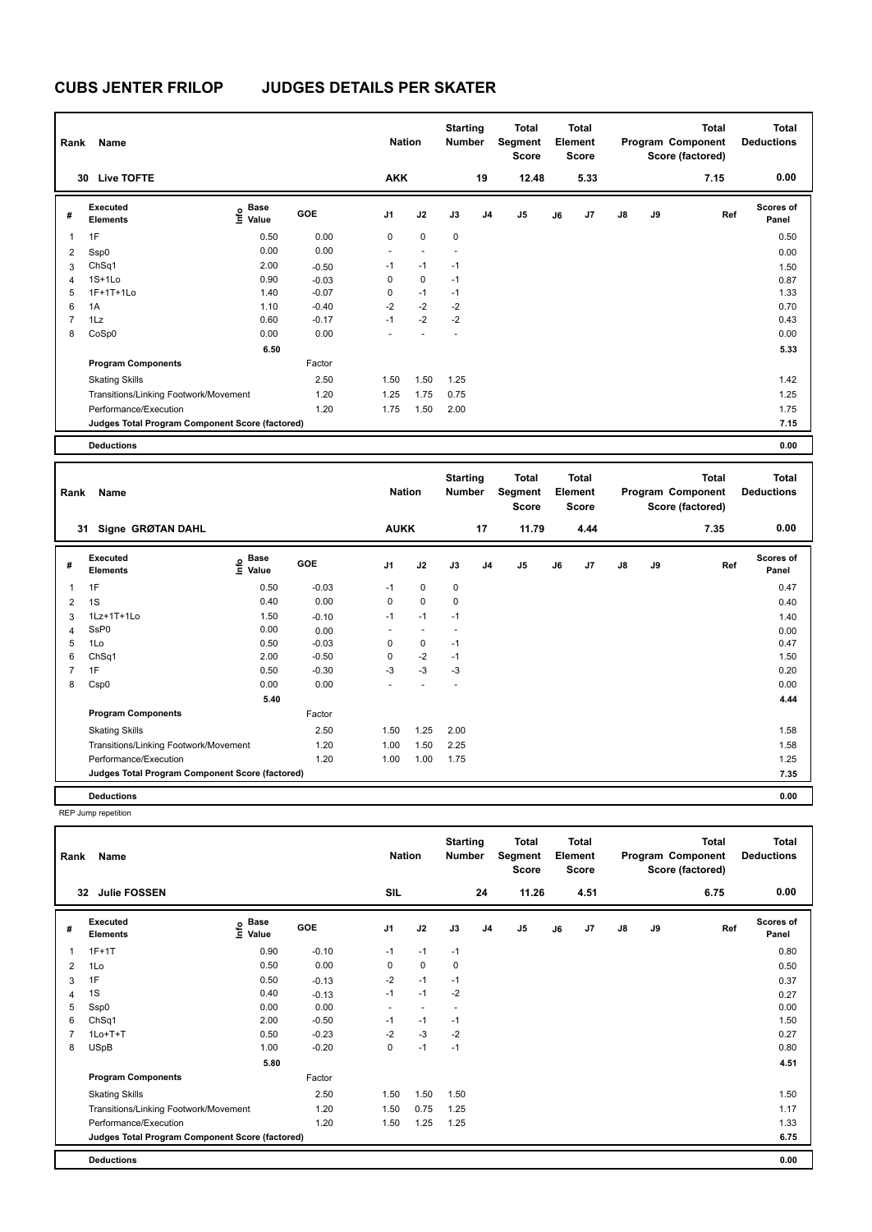| Rank           | Name                                            |                           |         | <b>Nation</b>  |             | <b>Starting</b><br>Number |                | <b>Total</b><br>Segment<br><b>Score</b> |    | Total<br>Element<br><b>Score</b> |               |    | <b>Total</b><br>Program Component<br>Score (factored) | Total<br><b>Deductions</b> |
|----------------|-------------------------------------------------|---------------------------|---------|----------------|-------------|---------------------------|----------------|-----------------------------------------|----|----------------------------------|---------------|----|-------------------------------------------------------|----------------------------|
|                | <b>Live TOFTE</b><br>30                         |                           |         | <b>AKK</b>     |             |                           | 19             | 12.48                                   |    | 5.33                             |               |    | 7.15                                                  | 0.00                       |
| #              | <b>Executed</b><br><b>Elements</b>              | Base<br>o Base<br>⊆ Value | GOE     | J <sub>1</sub> | J2          | J3                        | J <sub>4</sub> | J5                                      | J6 | J <sub>7</sub>                   | $\mathsf{J}8$ | J9 | Ref                                                   | <b>Scores of</b><br>Panel  |
| $\overline{1}$ | 1F                                              | 0.50                      | 0.00    | 0              | $\mathbf 0$ | $\mathbf 0$               |                |                                         |    |                                  |               |    |                                                       | 0.50                       |
| $\overline{2}$ | Ssp0                                            | 0.00                      | 0.00    | $\sim$         |             |                           |                |                                         |    |                                  |               |    |                                                       | 0.00                       |
| 3              | ChSq1                                           | 2.00                      | $-0.50$ | $-1$           | $-1$        | $-1$                      |                |                                         |    |                                  |               |    |                                                       | 1.50                       |
| $\overline{4}$ | $1S+1Lo$                                        | 0.90                      | $-0.03$ | 0              | $\mathbf 0$ | $-1$                      |                |                                         |    |                                  |               |    |                                                       | 0.87                       |
| 5              | 1F+1T+1Lo                                       | 1.40                      | $-0.07$ | 0              | $-1$        | $-1$                      |                |                                         |    |                                  |               |    |                                                       | 1.33                       |
| 6              | 1A                                              | 1.10                      | $-0.40$ | $-2$           | $-2$        | $-2$                      |                |                                         |    |                                  |               |    |                                                       | 0.70                       |
| $\overline{7}$ | 1Lz                                             | 0.60                      | $-0.17$ | $-1$           | $-2$        | $-2$                      |                |                                         |    |                                  |               |    |                                                       | 0.43                       |
| 8              | CoSp0                                           | 0.00                      | 0.00    |                |             |                           |                |                                         |    |                                  |               |    |                                                       | 0.00                       |
|                |                                                 | 6.50                      |         |                |             |                           |                |                                         |    |                                  |               |    |                                                       | 5.33                       |
|                | <b>Program Components</b>                       |                           | Factor  |                |             |                           |                |                                         |    |                                  |               |    |                                                       |                            |
|                | <b>Skating Skills</b>                           |                           | 2.50    | 1.50           | 1.50        | 1.25                      |                |                                         |    |                                  |               |    |                                                       | 1.42                       |
|                | Transitions/Linking Footwork/Movement           |                           | 1.20    | 1.25           | 1.75        | 0.75                      |                |                                         |    |                                  |               |    |                                                       | 1.25                       |
|                | Performance/Execution                           |                           | 1.20    | 1.75           | 1.50        | 2.00                      |                |                                         |    |                                  |               |    |                                                       | 1.75                       |
|                | Judges Total Program Component Score (factored) |                           |         |                |             |                           |                |                                         |    |                                  |               |    |                                                       | 7.15                       |
|                | <b>Deductions</b>                               |                           |         |                |             |                           |                |                                         |    |                                  |               |    |                                                       | 0.00                       |

| Rank           | Name                                            |                                           |            | <b>Nation</b>            |             | <b>Starting</b><br>Number |                | <b>Total</b><br>Segment<br><b>Score</b> |    | <b>Total</b><br>Element<br><b>Score</b> |               |    | <b>Total</b><br>Program Component<br>Score (factored) | <b>Total</b><br><b>Deductions</b> |
|----------------|-------------------------------------------------|-------------------------------------------|------------|--------------------------|-------------|---------------------------|----------------|-----------------------------------------|----|-----------------------------------------|---------------|----|-------------------------------------------------------|-----------------------------------|
|                | Signe GRØTAN DAHL<br>31                         |                                           |            | <b>AUKK</b>              |             |                           | 17             | 11.79                                   |    | 4.44                                    |               |    | 7.35                                                  | 0.00                              |
| #              | <b>Executed</b><br><b>Elements</b>              | $\frac{e}{E}$ Base<br>$\frac{e}{E}$ Value | <b>GOE</b> | J <sub>1</sub>           | J2          | J3                        | J <sub>4</sub> | J <sub>5</sub>                          | J6 | J7                                      | $\mathsf{J}8$ | J9 | Ref                                                   | <b>Scores of</b><br>Panel         |
| 1              | 1F                                              | 0.50                                      | $-0.03$    | $-1$                     | $\mathbf 0$ | $\mathbf 0$               |                |                                         |    |                                         |               |    |                                                       | 0.47                              |
| 2              | 1S                                              | 0.40                                      | 0.00       | $\mathbf 0$              | $\mathbf 0$ | $\mathbf 0$               |                |                                         |    |                                         |               |    |                                                       | 0.40                              |
| 3              | 1Lz+1T+1Lo                                      | 1.50                                      | $-0.10$    | $-1$                     | $-1$        | $-1$                      |                |                                         |    |                                         |               |    |                                                       | 1.40                              |
| 4              | SsP0                                            | 0.00                                      | 0.00       | $\overline{\phantom{a}}$ | $\sim$      | $\sim$                    |                |                                         |    |                                         |               |    |                                                       | 0.00                              |
| 5              | 1Lo                                             | 0.50                                      | $-0.03$    | 0                        | 0           | $-1$                      |                |                                         |    |                                         |               |    |                                                       | 0.47                              |
| 6              | Ch <sub>Sq1</sub>                               | 2.00                                      | $-0.50$    | 0                        | $-2$        | $-1$                      |                |                                         |    |                                         |               |    |                                                       | 1.50                              |
| $\overline{7}$ | 1F                                              | 0.50                                      | $-0.30$    | $-3$                     | $-3$        | $-3$                      |                |                                         |    |                                         |               |    |                                                       | 0.20                              |
| 8              | Csp0                                            | 0.00                                      | 0.00       |                          |             |                           |                |                                         |    |                                         |               |    |                                                       | 0.00                              |
|                |                                                 | 5.40                                      |            |                          |             |                           |                |                                         |    |                                         |               |    |                                                       | 4.44                              |
|                | <b>Program Components</b>                       |                                           | Factor     |                          |             |                           |                |                                         |    |                                         |               |    |                                                       |                                   |
|                | <b>Skating Skills</b>                           |                                           | 2.50       | 1.50                     | 1.25        | 2.00                      |                |                                         |    |                                         |               |    |                                                       | 1.58                              |
|                | Transitions/Linking Footwork/Movement           |                                           | 1.20       | 1.00                     | 1.50        | 2.25                      |                |                                         |    |                                         |               |    |                                                       | 1.58                              |
|                | Performance/Execution                           |                                           | 1.20       | 1.00                     | 1.00        | 1.75                      |                |                                         |    |                                         |               |    |                                                       | 1.25                              |
|                | Judges Total Program Component Score (factored) |                                           |            |                          |             |                           |                |                                         |    |                                         |               |    |                                                       | 7.35                              |
|                | <b>Deductions</b>                               |                                           |            |                          |             |                           |                |                                         |    |                                         |               |    |                                                       | 0.00                              |

REP Jump repetition

| Rank           | Name                                            |                                         |         | <b>Nation</b>  |                          | <b>Starting</b><br><b>Number</b> |                | Total<br>Segment<br><b>Score</b> |    | <b>Total</b><br>Element<br><b>Score</b> |               |    | <b>Total</b><br>Program Component<br>Score (factored) | <b>Total</b><br><b>Deductions</b> |
|----------------|-------------------------------------------------|-----------------------------------------|---------|----------------|--------------------------|----------------------------------|----------------|----------------------------------|----|-----------------------------------------|---------------|----|-------------------------------------------------------|-----------------------------------|
|                | 32<br><b>Julie FOSSEN</b>                       |                                         |         | SIL            |                          |                                  | 24             | 11.26                            |    | 4.51                                    |               |    | 6.75                                                  | 0.00                              |
| #              | Executed<br><b>Elements</b>                     | $\mathsf{E}$ Base<br>$\mathsf{E}$ Value | GOE     | J <sub>1</sub> | J2                       | J3                               | J <sub>4</sub> | J <sub>5</sub>                   | J6 | J7                                      | $\mathsf{J}8$ | J9 | Ref                                                   | <b>Scores of</b><br>Panel         |
| 1              | $1F+1T$                                         | 0.90                                    | $-0.10$ | $-1$           | $-1$                     | $-1$                             |                |                                  |    |                                         |               |    |                                                       | 0.80                              |
| 2              | 1Lo                                             | 0.50                                    | 0.00    | $\mathbf 0$    | $\mathbf 0$              | $\mathbf 0$                      |                |                                  |    |                                         |               |    |                                                       | 0.50                              |
| 3              | 1F                                              | 0.50                                    | $-0.13$ | $-2$           | $-1$                     | $-1$                             |                |                                  |    |                                         |               |    |                                                       | 0.37                              |
| 4              | 1S                                              | 0.40                                    | $-0.13$ | $-1$           | $-1$                     | $-2$                             |                |                                  |    |                                         |               |    |                                                       | 0.27                              |
| 5              | Ssp0                                            | 0.00                                    | 0.00    | ٠              | $\overline{\phantom{a}}$ |                                  |                |                                  |    |                                         |               |    |                                                       | 0.00                              |
| 6              | ChSq1                                           | 2.00                                    | $-0.50$ | $-1$           | $-1$                     | $-1$                             |                |                                  |    |                                         |               |    |                                                       | 1.50                              |
| $\overline{7}$ | $1Lo+T+T$                                       | 0.50                                    | $-0.23$ | $-2$           | $-3$                     | $-2$                             |                |                                  |    |                                         |               |    |                                                       | 0.27                              |
| 8              | <b>USpB</b>                                     | 1.00                                    | $-0.20$ | 0              | $-1$                     | $-1$                             |                |                                  |    |                                         |               |    |                                                       | 0.80                              |
|                |                                                 | 5.80                                    |         |                |                          |                                  |                |                                  |    |                                         |               |    |                                                       | 4.51                              |
|                | <b>Program Components</b>                       |                                         | Factor  |                |                          |                                  |                |                                  |    |                                         |               |    |                                                       |                                   |
|                | <b>Skating Skills</b>                           |                                         | 2.50    | 1.50           | 1.50                     | 1.50                             |                |                                  |    |                                         |               |    |                                                       | 1.50                              |
|                | Transitions/Linking Footwork/Movement           |                                         | 1.20    | 1.50           | 0.75                     | 1.25                             |                |                                  |    |                                         |               |    |                                                       | 1.17                              |
|                | Performance/Execution                           |                                         | 1.20    | 1.50           | 1.25                     | 1.25                             |                |                                  |    |                                         |               |    |                                                       | 1.33                              |
|                | Judges Total Program Component Score (factored) |                                         |         |                |                          |                                  |                |                                  |    |                                         |               |    |                                                       | 6.75                              |
|                | <b>Deductions</b>                               |                                         |         |                |                          |                                  |                |                                  |    |                                         |               |    |                                                       | 0.00                              |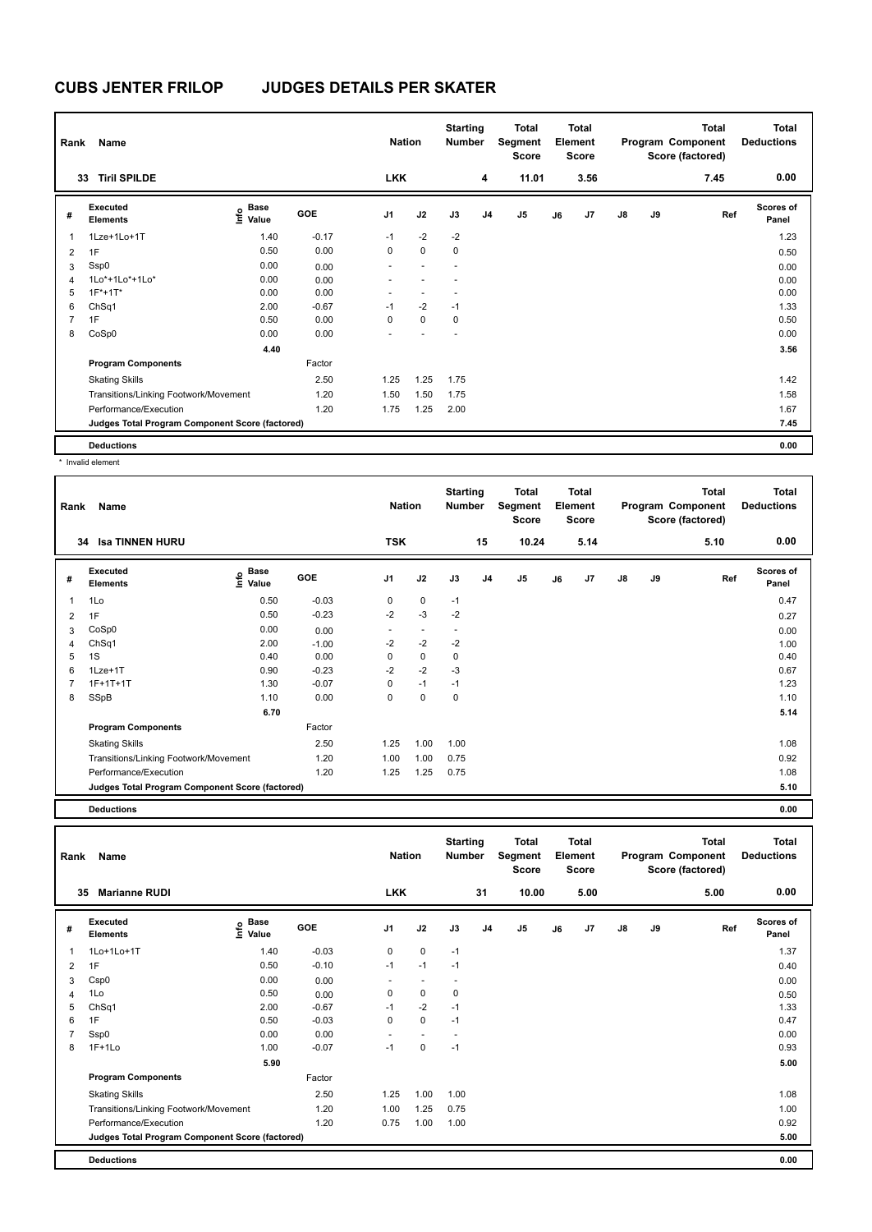| Rank | Name                                            |                           |            | <b>Nation</b>  |             | <b>Starting</b><br><b>Number</b> |                | Total<br>Segment<br>Score |    | <b>Total</b><br>Element<br><b>Score</b> |               |    | Total<br>Program Component<br>Score (factored) | <b>Total</b><br><b>Deductions</b> |
|------|-------------------------------------------------|---------------------------|------------|----------------|-------------|----------------------------------|----------------|---------------------------|----|-----------------------------------------|---------------|----|------------------------------------------------|-----------------------------------|
| 33   | <b>Tiril SPILDE</b>                             |                           |            | <b>LKK</b>     |             |                                  | 4              | 11.01                     |    | 3.56                                    |               |    | 7.45                                           | 0.00                              |
| #    | Executed<br><b>Elements</b>                     | Base<br>e Base<br>⊆ Value | <b>GOE</b> | J <sub>1</sub> | J2          | J3                               | J <sub>4</sub> | J <sub>5</sub>            | J6 | J7                                      | $\mathsf{J}8$ | J9 | Ref                                            | <b>Scores of</b><br>Panel         |
|      | 1Lze+1Lo+1T                                     | 1.40                      | $-0.17$    | $-1$           | $-2$        | $-2$                             |                |                           |    |                                         |               |    |                                                | 1.23                              |
| 2    | 1F                                              | 0.50                      | 0.00       | 0              | $\mathbf 0$ | 0                                |                |                           |    |                                         |               |    |                                                | 0.50                              |
| 3    | Ssp0                                            | 0.00                      | 0.00       | ٠              |             | ٠                                |                |                           |    |                                         |               |    |                                                | 0.00                              |
| 4    | 1Lo*+1Lo*+1Lo*                                  | 0.00                      | 0.00       |                |             |                                  |                |                           |    |                                         |               |    |                                                | 0.00                              |
| 5    | $1F*+1T*$                                       | 0.00                      | 0.00       |                |             |                                  |                |                           |    |                                         |               |    |                                                | 0.00                              |
| 6    | ChSq1                                           | 2.00                      | $-0.67$    | $-1$           | $-2$        | $-1$                             |                |                           |    |                                         |               |    |                                                | 1.33                              |
|      | 1F                                              | 0.50                      | 0.00       | 0              | $\mathbf 0$ | 0                                |                |                           |    |                                         |               |    |                                                | 0.50                              |
| 8    | CoSp0                                           | 0.00                      | 0.00       | ٠              |             | ٠                                |                |                           |    |                                         |               |    |                                                | 0.00                              |
|      |                                                 | 4.40                      |            |                |             |                                  |                |                           |    |                                         |               |    |                                                | 3.56                              |
|      | <b>Program Components</b>                       |                           | Factor     |                |             |                                  |                |                           |    |                                         |               |    |                                                |                                   |
|      | <b>Skating Skills</b>                           |                           | 2.50       | 1.25           | 1.25        | 1.75                             |                |                           |    |                                         |               |    |                                                | 1.42                              |
|      | Transitions/Linking Footwork/Movement           |                           | 1.20       | 1.50           | 1.50        | 1.75                             |                |                           |    |                                         |               |    |                                                | 1.58                              |
|      | Performance/Execution                           |                           | 1.20       | 1.75           | 1.25        | 2.00                             |                |                           |    |                                         |               |    |                                                | 1.67                              |
|      | Judges Total Program Component Score (factored) |                           |            |                |             |                                  |                |                           |    |                                         |               |    |                                                | 7.45                              |
|      | <b>Deductions</b>                               |                           |            |                |             |                                  |                |                           |    |                                         |               |    |                                                | 0.00                              |

\* Invalid element

| Rank         | Name                                            |                              |         | <b>Nation</b>            |                          | <b>Starting</b><br><b>Number</b> |                | <b>Total</b><br>Segment<br><b>Score</b> |    | <b>Total</b><br>Element<br><b>Score</b> |               |    | Total<br>Program Component<br>Score (factored) | <b>Total</b><br><b>Deductions</b> |
|--------------|-------------------------------------------------|------------------------------|---------|--------------------------|--------------------------|----------------------------------|----------------|-----------------------------------------|----|-----------------------------------------|---------------|----|------------------------------------------------|-----------------------------------|
|              | <b>Isa TINNEN HURU</b><br>34                    |                              |         | <b>TSK</b>               |                          |                                  | 15             | 10.24                                   |    | 5.14                                    |               |    | 5.10                                           | 0.00                              |
| #            | Executed<br><b>Elements</b>                     | <b>Base</b><br>lnfo<br>Value | GOE     | J <sub>1</sub>           | J2                       | J3                               | J <sub>4</sub> | J <sub>5</sub>                          | J6 | J7                                      | $\mathsf{J}8$ | J9 | Ref                                            | <b>Scores of</b><br>Panel         |
| $\mathbf{1}$ | 1Lo                                             | 0.50                         | $-0.03$ | 0                        | 0                        | $-1$                             |                |                                         |    |                                         |               |    |                                                | 0.47                              |
| 2            | 1F                                              | 0.50                         | $-0.23$ | $-2$                     | $-3$                     | $-2$                             |                |                                         |    |                                         |               |    |                                                | 0.27                              |
| 3            | CoSp0                                           | 0.00                         | 0.00    | $\overline{\phantom{a}}$ | $\overline{\phantom{a}}$ |                                  |                |                                         |    |                                         |               |    |                                                | 0.00                              |
| 4            | ChSq1                                           | 2.00                         | $-1.00$ | $-2$                     | $-2$                     | $-2$                             |                |                                         |    |                                         |               |    |                                                | 1.00                              |
| 5            | 1S                                              | 0.40                         | 0.00    | 0                        | 0                        | 0                                |                |                                         |    |                                         |               |    |                                                | 0.40                              |
| 6            | $1$ Lze $+1$ T                                  | 0.90                         | $-0.23$ | $-2$                     | $-2$                     | $-3$                             |                |                                         |    |                                         |               |    |                                                | 0.67                              |
| 7            | $1F+1T+1T$                                      | 1.30                         | $-0.07$ | 0                        | $-1$                     | $-1$                             |                |                                         |    |                                         |               |    |                                                | 1.23                              |
| 8            | SSpB                                            | 1.10                         | 0.00    | 0                        | 0                        | $\mathbf 0$                      |                |                                         |    |                                         |               |    |                                                | 1.10                              |
|              |                                                 | 6.70                         |         |                          |                          |                                  |                |                                         |    |                                         |               |    |                                                | 5.14                              |
|              | <b>Program Components</b>                       |                              | Factor  |                          |                          |                                  |                |                                         |    |                                         |               |    |                                                |                                   |
|              | <b>Skating Skills</b>                           |                              | 2.50    | 1.25                     | 1.00                     | 1.00                             |                |                                         |    |                                         |               |    |                                                | 1.08                              |
|              | Transitions/Linking Footwork/Movement           |                              | 1.20    | 1.00                     | 1.00                     | 0.75                             |                |                                         |    |                                         |               |    |                                                | 0.92                              |
|              | Performance/Execution                           |                              | 1.20    | 1.25                     | 1.25                     | 0.75                             |                |                                         |    |                                         |               |    |                                                | 1.08                              |
|              | Judges Total Program Component Score (factored) |                              |         |                          |                          |                                  |                |                                         |    |                                         |               |    |                                                | 5.10                              |

**Deductions 0.00**

| Rank           | Name                                            |                           |         | <b>Nation</b>  |             | <b>Starting</b><br><b>Number</b> |                | <b>Total</b><br>Segment<br><b>Score</b> |    | Total<br>Element<br><b>Score</b> |               |    | <b>Total</b><br>Program Component<br>Score (factored) | <b>Total</b><br><b>Deductions</b> |
|----------------|-------------------------------------------------|---------------------------|---------|----------------|-------------|----------------------------------|----------------|-----------------------------------------|----|----------------------------------|---------------|----|-------------------------------------------------------|-----------------------------------|
| 35             | <b>Marianne RUDI</b>                            |                           |         | <b>LKK</b>     |             |                                  | 31             | 10.00                                   |    | 5.00                             |               |    | 5.00                                                  | 0.00                              |
| #              | Executed<br><b>Elements</b>                     | Base<br>e Base<br>⊆ Value | GOE     | J <sub>1</sub> | J2          | J3                               | J <sub>4</sub> | $\mathsf{J}5$                           | J6 | J7                               | $\mathsf{J}8$ | J9 | Ref                                                   | <b>Scores of</b><br>Panel         |
| $\overline{1}$ | 1Lo+1Lo+1T                                      | 1.40                      | $-0.03$ | 0              | $\mathbf 0$ | $-1$                             |                |                                         |    |                                  |               |    |                                                       | 1.37                              |
| 2              | 1F                                              | 0.50                      | $-0.10$ | $-1$           | $-1$        | $-1$                             |                |                                         |    |                                  |               |    |                                                       | 0.40                              |
| 3              | Csp0                                            | 0.00                      | 0.00    |                |             |                                  |                |                                         |    |                                  |               |    |                                                       | 0.00                              |
| $\overline{4}$ | 1Lo                                             | 0.50                      | 0.00    | 0              | $\mathbf 0$ | $\mathbf 0$                      |                |                                         |    |                                  |               |    |                                                       | 0.50                              |
| 5              | ChSq1                                           | 2.00                      | $-0.67$ | $-1$           | $-2$        | $-1$                             |                |                                         |    |                                  |               |    |                                                       | 1.33                              |
| 6              | 1F                                              | 0.50                      | $-0.03$ | $\Omega$       | $\Omega$    | $-1$                             |                |                                         |    |                                  |               |    |                                                       | 0.47                              |
| 7              | Ssp0                                            | 0.00                      | 0.00    | $\sim$         |             |                                  |                |                                         |    |                                  |               |    |                                                       | 0.00                              |
| 8              | $1F+1Lo$                                        | 1.00                      | $-0.07$ | $-1$           | $\mathbf 0$ | $-1$                             |                |                                         |    |                                  |               |    |                                                       | 0.93                              |
|                |                                                 | 5.90                      |         |                |             |                                  |                |                                         |    |                                  |               |    |                                                       | 5.00                              |
|                | <b>Program Components</b>                       |                           | Factor  |                |             |                                  |                |                                         |    |                                  |               |    |                                                       |                                   |
|                | <b>Skating Skills</b>                           |                           | 2.50    | 1.25           | 1.00        | 1.00                             |                |                                         |    |                                  |               |    |                                                       | 1.08                              |
|                | Transitions/Linking Footwork/Movement           |                           | 1.20    | 1.00           | 1.25        | 0.75                             |                |                                         |    |                                  |               |    |                                                       | 1.00                              |
|                | Performance/Execution                           |                           | 1.20    | 0.75           | 1.00        | 1.00                             |                |                                         |    |                                  |               |    |                                                       | 0.92                              |
|                | Judges Total Program Component Score (factored) |                           |         |                |             |                                  |                |                                         |    |                                  |               |    |                                                       | 5.00                              |
|                | <b>Deductions</b>                               |                           |         |                |             |                                  |                |                                         |    |                                  |               |    |                                                       | 0.00                              |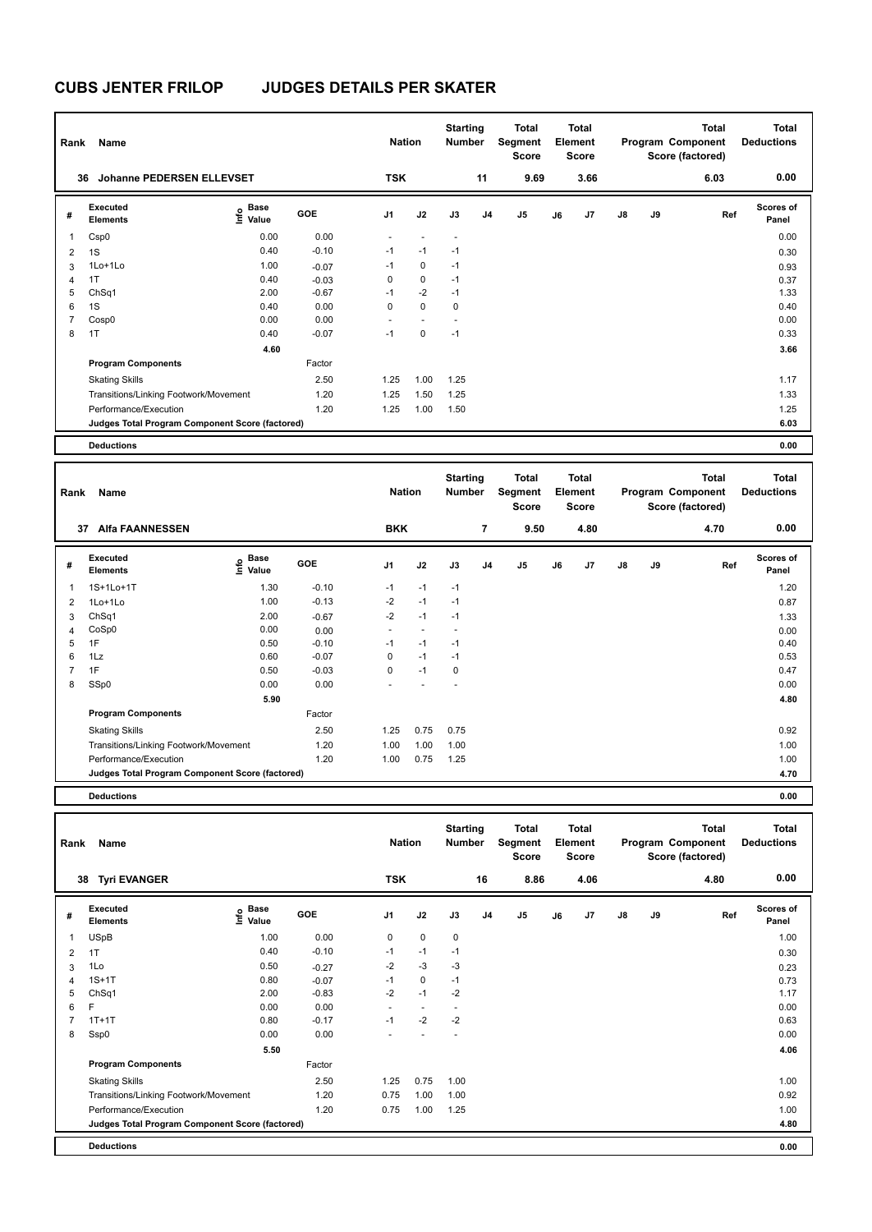| Rank           | Name                                            |                              |         | <b>Nation</b>  |             | <b>Starting</b><br>Number |                | <b>Total</b><br>Segment<br><b>Score</b> |    | <b>Total</b><br>Element<br><b>Score</b> |               |    | <b>Total</b><br>Program Component<br>Score (factored) | Total<br><b>Deductions</b> |
|----------------|-------------------------------------------------|------------------------------|---------|----------------|-------------|---------------------------|----------------|-----------------------------------------|----|-----------------------------------------|---------------|----|-------------------------------------------------------|----------------------------|
|                | <b>Johanne PEDERSEN ELLEVSET</b><br>36          |                              |         | <b>TSK</b>     |             |                           | 11             | 9.69                                    |    | 3.66                                    |               |    | 6.03                                                  | 0.00                       |
| #              | Executed<br><b>Elements</b>                     | <b>Base</b><br>Info<br>Value | GOE     | J <sub>1</sub> | J2          | J3                        | J <sub>4</sub> | J5                                      | J6 | J <sub>7</sub>                          | $\mathsf{J}8$ | J9 | Ref                                                   | <b>Scores of</b><br>Panel  |
| 1              | Csp0                                            | 0.00                         | 0.00    |                |             | $\overline{\phantom{a}}$  |                |                                         |    |                                         |               |    |                                                       | 0.00                       |
| $\overline{2}$ | 1S                                              | 0.40                         | $-0.10$ | $-1$           | $-1$        | $-1$                      |                |                                         |    |                                         |               |    |                                                       | 0.30                       |
| 3              | $1$ Lo $+1$ Lo                                  | 1.00                         | $-0.07$ | $-1$           | $\mathbf 0$ | $-1$                      |                |                                         |    |                                         |               |    |                                                       | 0.93                       |
| $\overline{4}$ | 1T                                              | 0.40                         | $-0.03$ | 0              | $\mathbf 0$ | $-1$                      |                |                                         |    |                                         |               |    |                                                       | 0.37                       |
| 5              | ChSq1                                           | 2.00                         | $-0.67$ | $-1$           | $-2$        | $-1$                      |                |                                         |    |                                         |               |    |                                                       | 1.33                       |
| 6              | 1S                                              | 0.40                         | 0.00    | 0              | $\mathbf 0$ | $\mathbf 0$               |                |                                         |    |                                         |               |    |                                                       | 0.40                       |
| $\overline{7}$ | Cosp <sub>0</sub>                               | 0.00                         | 0.00    |                |             |                           |                |                                         |    |                                         |               |    |                                                       | 0.00                       |
| 8              | 1T                                              | 0.40                         | $-0.07$ | $-1$           | $\mathbf 0$ | $-1$                      |                |                                         |    |                                         |               |    |                                                       | 0.33                       |
|                |                                                 | 4.60                         |         |                |             |                           |                |                                         |    |                                         |               |    |                                                       | 3.66                       |
|                | <b>Program Components</b>                       |                              | Factor  |                |             |                           |                |                                         |    |                                         |               |    |                                                       |                            |
|                | <b>Skating Skills</b>                           |                              | 2.50    | 1.25           | 1.00        | 1.25                      |                |                                         |    |                                         |               |    |                                                       | 1.17                       |
|                | Transitions/Linking Footwork/Movement           |                              | 1.20    | 1.25           | 1.50        | 1.25                      |                |                                         |    |                                         |               |    |                                                       | 1.33                       |
|                | Performance/Execution                           |                              | 1.20    | 1.25           | 1.00        | 1.50                      |                |                                         |    |                                         |               |    |                                                       | 1.25                       |
|                | Judges Total Program Component Score (factored) |                              |         |                |             |                           |                |                                         |    |                                         |               |    |                                                       | 6.03                       |
|                | <b>Deductions</b>                               |                              |         |                |             |                           |                |                                         |    |                                         |               |    |                                                       | 0.00                       |

| Rank                                            | Name                        |                                           |            | <b>Nation</b>  |                      | <b>Starting</b><br>Number |                | <b>Total</b><br>Segment<br><b>Score</b> |    | <b>Total</b><br>Element<br><b>Score</b> |               |      | <b>Total</b><br>Program Component<br>Score (factored) | <b>Total</b><br><b>Deductions</b> |
|-------------------------------------------------|-----------------------------|-------------------------------------------|------------|----------------|----------------------|---------------------------|----------------|-----------------------------------------|----|-----------------------------------------|---------------|------|-------------------------------------------------------|-----------------------------------|
| 37                                              | <b>Alfa FAANNESSEN</b>      |                                           |            | <b>BKK</b>     |                      |                           | $\overline{7}$ | 9.50                                    |    | 4.80                                    |               |      | 4.70                                                  | 0.00                              |
| #                                               | Executed<br><b>Elements</b> | $\frac{e}{E}$ Base<br>$\frac{e}{E}$ Value | <b>GOE</b> | J <sub>1</sub> | J2                   | J3                        | J <sub>4</sub> | J <sub>5</sub>                          | J6 | J7                                      | $\mathsf{J}8$ | J9   | Ref                                                   | <b>Scores of</b><br>Panel         |
| $\mathbf{1}$                                    | 1S+1Lo+1T                   | 1.30                                      | $-0.10$    | $-1$           | $-1$                 | $-1$                      |                |                                         |    |                                         |               |      |                                                       | 1.20                              |
| $\overline{2}$                                  | $1$ Lo $+1$ Lo              | 1.00                                      | $-0.13$    | $-2$           | $-1$                 | $-1$                      |                |                                         |    |                                         |               |      |                                                       | 0.87                              |
| 3                                               | ChSq1                       | 2.00                                      | $-0.67$    | $-2$           | $-1$                 | $-1$                      |                |                                         |    |                                         |               |      |                                                       | 1.33                              |
| 4                                               | CoSp0                       | 0.00                                      | 0.00       | $\sim$         | $\ddot{\phantom{1}}$ | $\overline{\phantom{a}}$  |                |                                         |    |                                         |               |      |                                                       | 0.00                              |
| 5                                               | 1F                          | 0.50                                      | $-0.10$    | $-1$           | $-1$                 | $-1$                      |                |                                         |    |                                         |               |      |                                                       | 0.40                              |
| 6                                               | 1Lz                         | 0.60                                      | $-0.07$    | 0              | $-1$                 | $-1$                      |                |                                         |    |                                         |               |      |                                                       | 0.53                              |
| $\overline{7}$                                  | 1F                          | 0.50                                      | $-0.03$    | 0              | $-1$                 | 0                         |                |                                         |    |                                         |               |      |                                                       | 0.47                              |
| 8                                               | SSp0                        | 0.00                                      | 0.00       |                |                      |                           |                |                                         |    |                                         |               |      |                                                       | 0.00                              |
|                                                 |                             | 5.90                                      |            |                |                      |                           |                |                                         |    |                                         |               |      |                                                       | 4.80                              |
|                                                 | <b>Program Components</b>   |                                           | Factor     |                |                      |                           |                |                                         |    |                                         |               |      |                                                       |                                   |
|                                                 | <b>Skating Skills</b>       |                                           | 2.50       | 1.25           | 0.75                 | 0.75                      |                |                                         |    |                                         |               |      |                                                       | 0.92                              |
| 1.20<br>Transitions/Linking Footwork/Movement   |                             | 1.00                                      | 1.00       | 1.00           |                      |                           |                |                                         |    |                                         |               | 1.00 |                                                       |                                   |
|                                                 | Performance/Execution       |                                           | 1.20       | 1.00           | 0.75                 | 1.25                      |                |                                         |    |                                         |               |      |                                                       | 1.00                              |
| Judges Total Program Component Score (factored) |                             |                                           |            |                |                      |                           |                |                                         |    |                                         |               |      |                                                       | 4.70                              |
|                                                 | <b>Deductions</b>           |                                           |            |                |                      |                           |                |                                         |    |                                         |               |      |                                                       | 0.00                              |

| Rank | Name                                            |                                    |         | <b>Nation</b>            |             | <b>Starting</b><br><b>Number</b> |    | Total<br>Segment<br>Score |    | <b>Total</b><br>Element<br><b>Score</b> |               |    | <b>Total</b><br>Program Component<br>Score (factored) | <b>Total</b><br><b>Deductions</b> |
|------|-------------------------------------------------|------------------------------------|---------|--------------------------|-------------|----------------------------------|----|---------------------------|----|-----------------------------------------|---------------|----|-------------------------------------------------------|-----------------------------------|
| 38   | <b>Tyri EVANGER</b>                             |                                    |         | <b>TSK</b>               |             |                                  | 16 | 8.86                      |    | 4.06                                    |               |    | 4.80                                                  | 0.00                              |
| #    | Executed<br><b>Elements</b>                     | <b>Base</b><br>$\frac{6}{5}$ Value | GOE     | J <sub>1</sub>           | J2          | J3                               | J4 | J <sub>5</sub>            | J6 | J7                                      | $\mathsf{J}8$ | J9 | Ref                                                   | <b>Scores of</b><br>Panel         |
| 1    | <b>USpB</b>                                     | 1.00                               | 0.00    | 0                        | $\mathbf 0$ | 0                                |    |                           |    |                                         |               |    |                                                       | 1.00                              |
| 2    | 1T                                              | 0.40                               | $-0.10$ | $-1$                     | $-1$        | $-1$                             |    |                           |    |                                         |               |    |                                                       | 0.30                              |
| 3    | 1Lo                                             | 0.50                               | $-0.27$ | $-2$                     | $-3$        | $-3$                             |    |                           |    |                                         |               |    |                                                       | 0.23                              |
| 4    | $1S+1T$                                         | 0.80                               | $-0.07$ | $-1$                     | 0           | $-1$                             |    |                           |    |                                         |               |    |                                                       | 0.73                              |
| 5    | ChSq1                                           | 2.00                               | $-0.83$ | $-2$                     | $-1$        | $-2$                             |    |                           |    |                                         |               |    |                                                       | 1.17                              |
| 6    | F                                               | 0.00                               | 0.00    | $\overline{\phantom{a}}$ | $\sim$      |                                  |    |                           |    |                                         |               |    |                                                       | 0.00                              |
| 7    | $1T+1T$                                         | 0.80                               | $-0.17$ | $-1$                     | $-2$        | $-2$                             |    |                           |    |                                         |               |    |                                                       | 0.63                              |
| 8    | Ssp0                                            | 0.00                               | 0.00    |                          |             |                                  |    |                           |    |                                         |               |    |                                                       | 0.00                              |
|      |                                                 | 5.50                               |         |                          |             |                                  |    |                           |    |                                         |               |    |                                                       | 4.06                              |
|      | <b>Program Components</b>                       |                                    | Factor  |                          |             |                                  |    |                           |    |                                         |               |    |                                                       |                                   |
|      | <b>Skating Skills</b>                           |                                    | 2.50    | 1.25                     | 0.75        | 1.00                             |    |                           |    |                                         |               |    |                                                       | 1.00                              |
|      | Transitions/Linking Footwork/Movement           |                                    | 1.20    | 0.75                     | 1.00        | 1.00                             |    |                           |    |                                         |               |    |                                                       | 0.92                              |
|      | Performance/Execution                           |                                    | 1.20    | 0.75                     | 1.00        | 1.25                             |    |                           |    |                                         |               |    |                                                       | 1.00                              |
|      | Judges Total Program Component Score (factored) |                                    |         |                          |             |                                  |    |                           |    |                                         |               |    |                                                       | 4.80                              |
|      | <b>Deductions</b>                               |                                    |         |                          |             |                                  |    |                           |    |                                         |               |    |                                                       | 0.00                              |